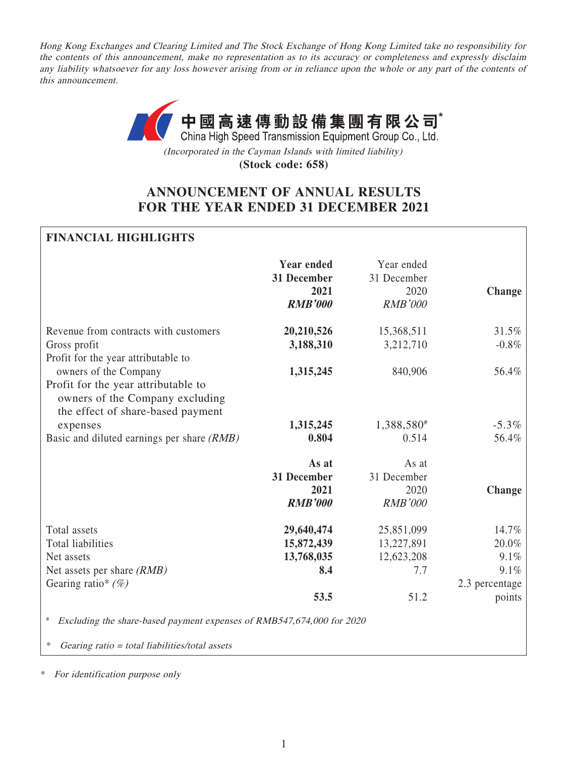Hong Kong Exchanges and Clearing Limited and The Stock Exchange of Hong Kong Limited take no responsibility for the contents of this announcement, make no representation as to its accuracy or completeness and expressly disclaim any liability whatsoever for any loss however arising from or in reliance upon the whole or any part of the contents of this announcement.



(Incorporated in the Cayman Islands with limited liability)

**(Stock code: 658)**

# **ANNOUNCEMENT OF ANNUAL RESULTS FOR THE YEAR ENDED 31 DECEMBER 2021**

## **FINANCIAL HIGHLIGHTS**

|                                                                                                                              | <b>Year ended</b><br>31 December<br>2021<br><b>RMB'000</b> | Year ended<br>31 December<br>2020<br><b>RMB'000</b> | Change         |
|------------------------------------------------------------------------------------------------------------------------------|------------------------------------------------------------|-----------------------------------------------------|----------------|
| Revenue from contracts with customers                                                                                        | 20,210,526                                                 | 15,368,511                                          | 31.5%          |
| Gross profit                                                                                                                 | 3,188,310                                                  | 3,212,710                                           | $-0.8\%$       |
| Profit for the year attributable to                                                                                          |                                                            |                                                     |                |
| owners of the Company                                                                                                        | 1,315,245                                                  | 840,906                                             | 56.4%          |
| Profit for the year attributable to<br>owners of the Company excluding<br>the effect of share-based payment                  |                                                            |                                                     |                |
| expenses                                                                                                                     | 1,315,245                                                  | 1,388,580#                                          | $-5.3\%$       |
| Basic and diluted earnings per share (RMB)                                                                                   | 0.804                                                      | 0.514                                               | 56.4%          |
|                                                                                                                              | As at<br>31 December<br>2021<br><b>RMB'000</b>             | As at<br>31 December<br>2020<br><b>RMB'000</b>      | Change         |
| Total assets                                                                                                                 | 29,640,474                                                 | 25,851,099                                          | 14.7%          |
| <b>Total liabilities</b>                                                                                                     | 15,872,439                                                 | 13,227,891                                          | 20.0%          |
| Net assets                                                                                                                   | 13,768,035                                                 | 12,623,208                                          | 9.1%           |
| Net assets per share $(RMB)$                                                                                                 | 8.4                                                        | 7.7                                                 | 9.1%           |
| Gearing ratio* $(\%)$                                                                                                        |                                                            |                                                     | 2.3 percentage |
|                                                                                                                              | 53.5                                                       | 51.2                                                | points         |
| Excluding the share-based payment expenses of RMB547,674,000 for 2020<br>∗<br>Gearing ratio = total liabilities/total assets |                                                            |                                                     |                |

\* For identification purpose only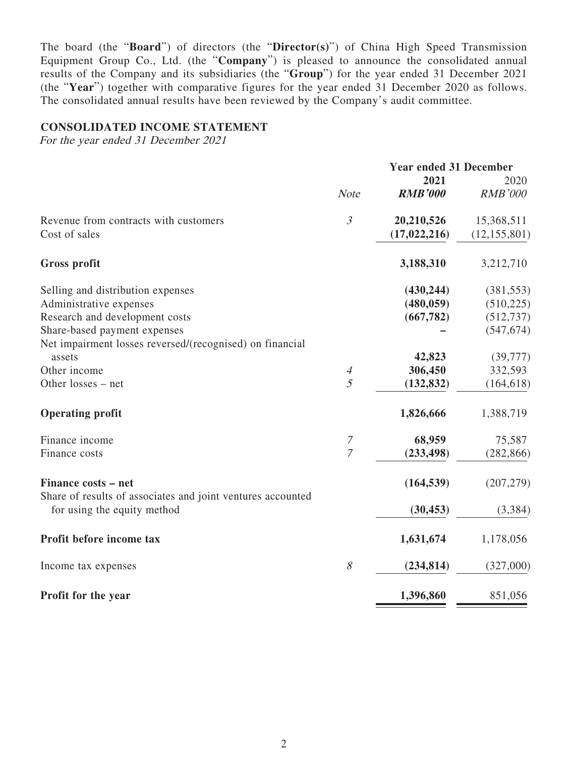The board (the "**Board**") of directors (the "**Director(s)**") of China High Speed Transmission Equipment Group Co., Ltd. (the "**Company**") is pleased to announce the consolidated annual results of the Company and its subsidiaries (the "**Group**") for the year ended 31 December 2021 (the "**Year**") together with comparative figures for the year ended 31 December 2020 as follows. The consolidated annual results have been reviewed by the Company's audit committee.

#### **CONSOLIDATED INCOME STATEMENT**

For the year ended 31 December 2021

|                                                             |                | <b>Year ended 31 December</b> |                |
|-------------------------------------------------------------|----------------|-------------------------------|----------------|
|                                                             |                | 2021                          | 2020           |
|                                                             | <b>Note</b>    | <b>RMB'000</b>                | <b>RMB'000</b> |
| Revenue from contracts with customers                       | $\mathfrak{Z}$ | 20,210,526                    | 15,368,511     |
| Cost of sales                                               |                | (17, 022, 216)                | (12, 155, 801) |
| <b>Gross profit</b>                                         |                | 3,188,310                     | 3,212,710      |
| Selling and distribution expenses                           |                | (430, 244)                    | (381, 553)     |
| Administrative expenses                                     |                | (480, 059)                    | (510, 225)     |
| Research and development costs                              |                | (667, 782)                    | (512, 737)     |
| Share-based payment expenses                                |                |                               | (547, 674)     |
| Net impairment losses reversed/(recognised) on financial    |                |                               |                |
| assets                                                      |                | 42,823                        | (39, 777)      |
| Other income                                                | $\overline{A}$ | 306,450                       | 332,593        |
| Other losses - net                                          | 5              | (132, 832)                    | (164, 618)     |
| <b>Operating profit</b>                                     |                | 1,826,666                     | 1,388,719      |
| Finance income                                              | $\mathcal I$   | 68,959                        | 75,587         |
| Finance costs                                               | $\overline{7}$ | (233, 498)                    | (282, 866)     |
| Finance costs - net                                         |                | (164, 539)                    | (207, 279)     |
| Share of results of associates and joint ventures accounted |                |                               |                |
| for using the equity method                                 |                | (30, 453)                     | (3, 384)       |
| Profit before income tax                                    |                | 1,631,674                     | 1,178,056      |
| Income tax expenses                                         | 8              | (234, 814)                    | (327,000)      |
| Profit for the year                                         |                | 1,396,860                     | 851,056        |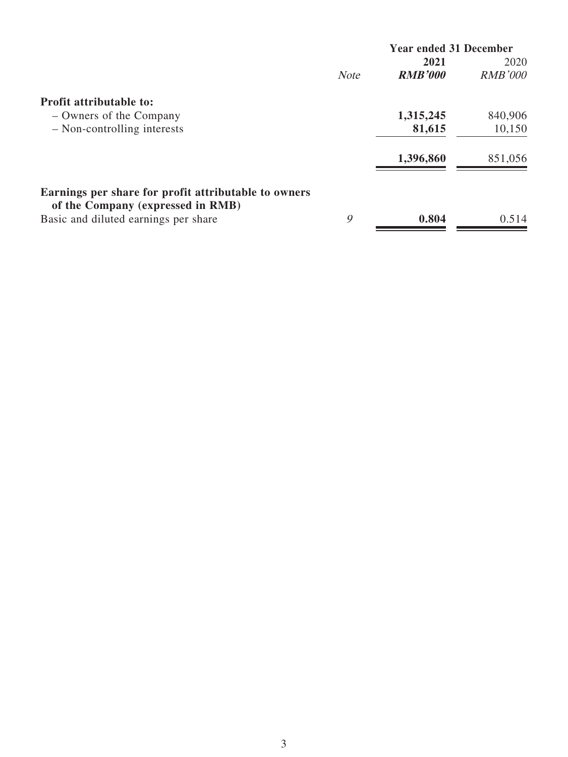| 2021<br><b>RMB'000</b><br><b>RMB'000</b><br><b>Note</b><br><b>Profit attributable to:</b><br>1,315,245<br>840,906<br>- Owners of the Company<br>81,615<br>- Non-controlling interests | <b>Year ended 31 December</b> |
|---------------------------------------------------------------------------------------------------------------------------------------------------------------------------------------|-------------------------------|
|                                                                                                                                                                                       | 2020                          |
|                                                                                                                                                                                       |                               |
|                                                                                                                                                                                       |                               |
|                                                                                                                                                                                       |                               |
|                                                                                                                                                                                       | 10,150                        |
| 1,396,860<br>851,056                                                                                                                                                                  |                               |
| Earnings per share for profit attributable to owners<br>of the Company (expressed in RMB)                                                                                             |                               |
| 9<br>0.804<br>Basic and diluted earnings per share                                                                                                                                    | 0.514                         |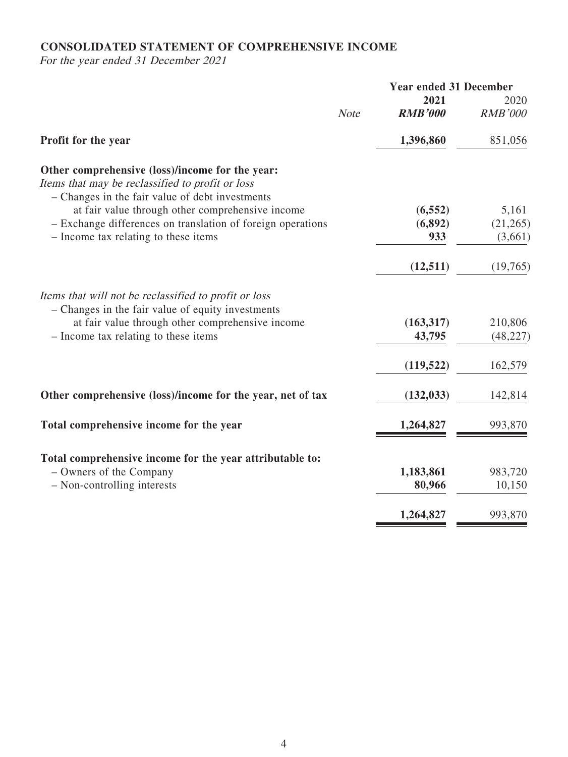# **CONSOLIDATED STATEMENT OF COMPREHENSIVE INCOME**

For the year ended 31 December 2021

|                                                                                                                                                        |             | <b>Year ended 31 December</b> |                |
|--------------------------------------------------------------------------------------------------------------------------------------------------------|-------------|-------------------------------|----------------|
|                                                                                                                                                        |             | 2021                          | 2020           |
|                                                                                                                                                        | <b>Note</b> | <b>RMB'000</b>                | <b>RMB'000</b> |
| Profit for the year                                                                                                                                    |             | 1,396,860                     | 851,056        |
| Other comprehensive (loss)/income for the year:<br>Items that may be reclassified to profit or loss<br>- Changes in the fair value of debt investments |             |                               |                |
| at fair value through other comprehensive income                                                                                                       |             | (6, 552)                      | 5,161          |
| - Exchange differences on translation of foreign operations                                                                                            |             | (6, 892)                      | (21,265)       |
| - Income tax relating to these items                                                                                                                   |             | 933                           | (3,661)        |
|                                                                                                                                                        |             | (12, 511)                     | (19,765)       |
| Items that will not be reclassified to profit or loss<br>- Changes in the fair value of equity investments                                             |             |                               |                |
| at fair value through other comprehensive income                                                                                                       |             | (163,317)                     | 210,806        |
| - Income tax relating to these items                                                                                                                   |             | 43,795                        | (48, 227)      |
|                                                                                                                                                        |             | (119, 522)                    | 162,579        |
| Other comprehensive (loss)/income for the year, net of tax                                                                                             |             | (132, 033)                    | 142,814        |
| Total comprehensive income for the year                                                                                                                |             | 1,264,827                     | 993,870        |
| Total comprehensive income for the year attributable to:                                                                                               |             |                               |                |
| - Owners of the Company                                                                                                                                |             | 1,183,861                     | 983,720        |
| - Non-controlling interests                                                                                                                            |             | 80,966                        | 10,150         |
|                                                                                                                                                        |             |                               |                |
|                                                                                                                                                        |             | 1,264,827                     | 993,870        |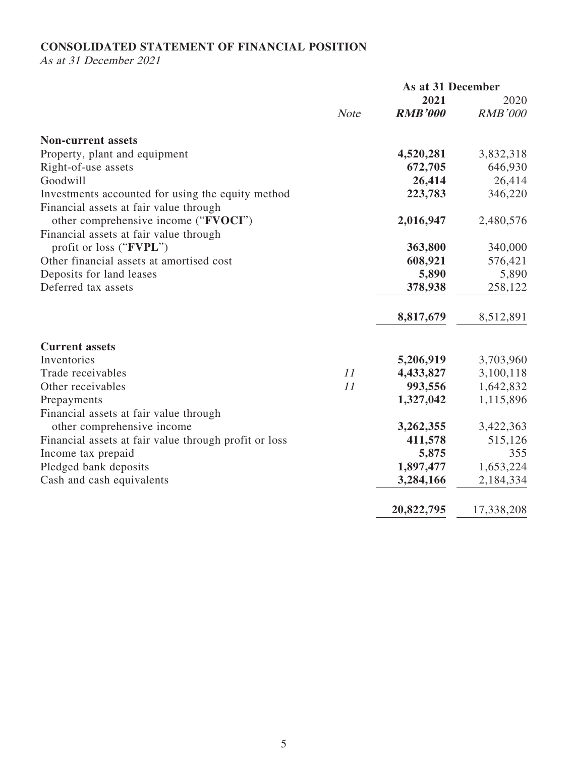# **CONSOLIDATED STATEMENT OF FINANCIAL POSITION**

As at 31 December 2021

|                                                       |             | As at 31 December |                |
|-------------------------------------------------------|-------------|-------------------|----------------|
|                                                       |             | 2021              | 2020           |
|                                                       | <b>Note</b> | <b>RMB'000</b>    | <b>RMB'000</b> |
| <b>Non-current assets</b>                             |             |                   |                |
| Property, plant and equipment                         |             | 4,520,281         | 3,832,318      |
| Right-of-use assets                                   |             | 672,705           | 646,930        |
| Goodwill                                              |             | 26,414            | 26,414         |
| Investments accounted for using the equity method     |             | 223,783           | 346,220        |
| Financial assets at fair value through                |             |                   |                |
| other comprehensive income ("FVOCI")                  |             | 2,016,947         | 2,480,576      |
| Financial assets at fair value through                |             |                   |                |
| profit or loss ("FVPL")                               |             | 363,800           | 340,000        |
| Other financial assets at amortised cost              |             | 608,921           | 576,421        |
| Deposits for land leases                              |             | 5,890             | 5,890          |
| Deferred tax assets                                   |             | 378,938           | 258,122        |
|                                                       |             | 8,817,679         | 8,512,891      |
| <b>Current assets</b>                                 |             |                   |                |
| Inventories                                           |             | 5,206,919         | 3,703,960      |
| Trade receivables                                     | 11          | 4,433,827         | 3,100,118      |
| Other receivables                                     | 11          | 993,556           | 1,642,832      |
| Prepayments                                           |             | 1,327,042         | 1,115,896      |
| Financial assets at fair value through                |             |                   |                |
| other comprehensive income                            |             | 3,262,355         | 3,422,363      |
| Financial assets at fair value through profit or loss |             | 411,578           | 515,126        |
| Income tax prepaid                                    |             | 5,875             | 355            |
| Pledged bank deposits                                 |             | 1,897,477         | 1,653,224      |
| Cash and cash equivalents                             |             | 3,284,166         | 2,184,334      |
|                                                       |             | 20,822,795        | 17,338,208     |
|                                                       |             |                   |                |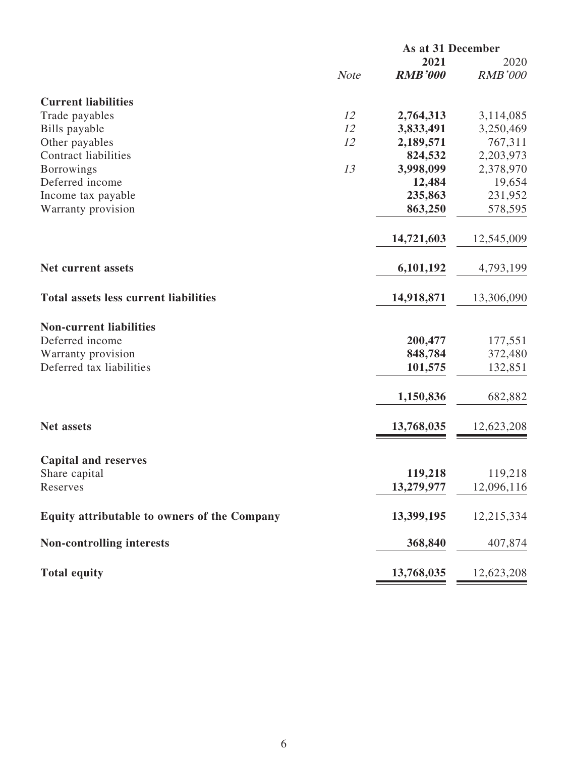|                                              | As at 31 December |                |                |
|----------------------------------------------|-------------------|----------------|----------------|
|                                              |                   | 2021           | 2020           |
|                                              | <b>Note</b>       | <b>RMB'000</b> | <b>RMB'000</b> |
| <b>Current liabilities</b>                   |                   |                |                |
| Trade payables                               | 12                | 2,764,313      | 3,114,085      |
| Bills payable                                | 12                | 3,833,491      | 3,250,469      |
| Other payables                               | 12                | 2,189,571      | 767,311        |
| <b>Contract liabilities</b>                  |                   | 824,532        | 2,203,973      |
| <b>Borrowings</b>                            | 13                | 3,998,099      | 2,378,970      |
| Deferred income                              |                   | 12,484         | 19,654         |
| Income tax payable                           |                   | 235,863        | 231,952        |
| Warranty provision                           |                   | 863,250        | 578,595        |
|                                              |                   | 14,721,603     | 12,545,009     |
| Net current assets                           |                   | 6,101,192      | 4,793,199      |
| <b>Total assets less current liabilities</b> |                   | 14,918,871     | 13,306,090     |
| <b>Non-current liabilities</b>               |                   |                |                |
| Deferred income                              |                   | 200,477        | 177,551        |
| Warranty provision                           |                   | 848,784        | 372,480        |
| Deferred tax liabilities                     |                   | 101,575        | 132,851        |
|                                              |                   | 1,150,836      | 682,882        |
| <b>Net assets</b>                            |                   | 13,768,035     | 12,623,208     |
|                                              |                   |                |                |
| <b>Capital and reserves</b>                  |                   |                |                |
| Share capital                                |                   | 119,218        | 119,218        |
| Reserves                                     |                   | 13,279,977     | 12,096,116     |
| Equity attributable to owners of the Company |                   | 13,399,195     | 12,215,334     |
| <b>Non-controlling interests</b>             |                   | 368,840        | 407,874        |
| <b>Total equity</b>                          |                   | 13,768,035     | 12,623,208     |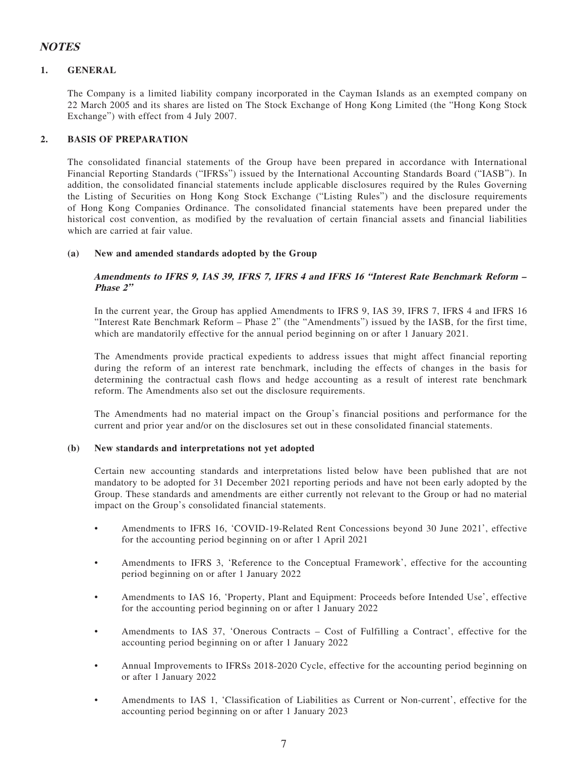## **NOTES**

#### **1. GENERAL**

The Company is a limited liability company incorporated in the Cayman Islands as an exempted company on 22 March 2005 and its shares are listed on The Stock Exchange of Hong Kong Limited (the "Hong Kong Stock Exchange") with effect from 4 July 2007.

#### **2. BASIS OF PREPARATION**

The consolidated financial statements of the Group have been prepared in accordance with International Financial Reporting Standards ("IFRSs") issued by the International Accounting Standards Board ("IASB"). In addition, the consolidated financial statements include applicable disclosures required by the Rules Governing the Listing of Securities on Hong Kong Stock Exchange ("Listing Rules") and the disclosure requirements of Hong Kong Companies Ordinance. The consolidated financial statements have been prepared under the historical cost convention, as modified by the revaluation of certain financial assets and financial liabilities which are carried at fair value.

#### **(a) New and amended standards adopted by the Group**

#### **Amendments to IFRS 9, IAS 39, IFRS 7, IFRS 4 and IFRS 16 "Interest Rate Benchmark Reform – Phase 2"**

In the current year, the Group has applied Amendments to IFRS 9, IAS 39, IFRS 7, IFRS 4 and IFRS 16 "Interest Rate Benchmark Reform – Phase 2" (the "Amendments") issued by the IASB, for the first time, which are mandatorily effective for the annual period beginning on or after 1 January 2021.

The Amendments provide practical expedients to address issues that might affect financial reporting during the reform of an interest rate benchmark, including the effects of changes in the basis for determining the contractual cash flows and hedge accounting as a result of interest rate benchmark reform. The Amendments also set out the disclosure requirements.

The Amendments had no material impact on the Group's financial positions and performance for the current and prior year and/or on the disclosures set out in these consolidated financial statements.

#### **(b) New standards and interpretations not yet adopted**

Certain new accounting standards and interpretations listed below have been published that are not mandatory to be adopted for 31 December 2021 reporting periods and have not been early adopted by the Group. These standards and amendments are either currently not relevant to the Group or had no material impact on the Group's consolidated financial statements.

- Amendments to IFRS 16, 'COVID-19-Related Rent Concessions beyond 30 June 2021', effective for the accounting period beginning on or after 1 April 2021
- Amendments to IFRS 3, 'Reference to the Conceptual Framework', effective for the accounting period beginning on or after 1 January 2022
- Amendments to IAS 16, 'Property, Plant and Equipment: Proceeds before Intended Use', effective for the accounting period beginning on or after 1 January 2022
- Amendments to IAS 37, 'Onerous Contracts Cost of Fulfilling a Contract', effective for the accounting period beginning on or after 1 January 2022
- Annual Improvements to IFRSs 2018-2020 Cycle, effective for the accounting period beginning on or after 1 January 2022
- Amendments to IAS 1, 'Classification of Liabilities as Current or Non-current', effective for the accounting period beginning on or after 1 January 2023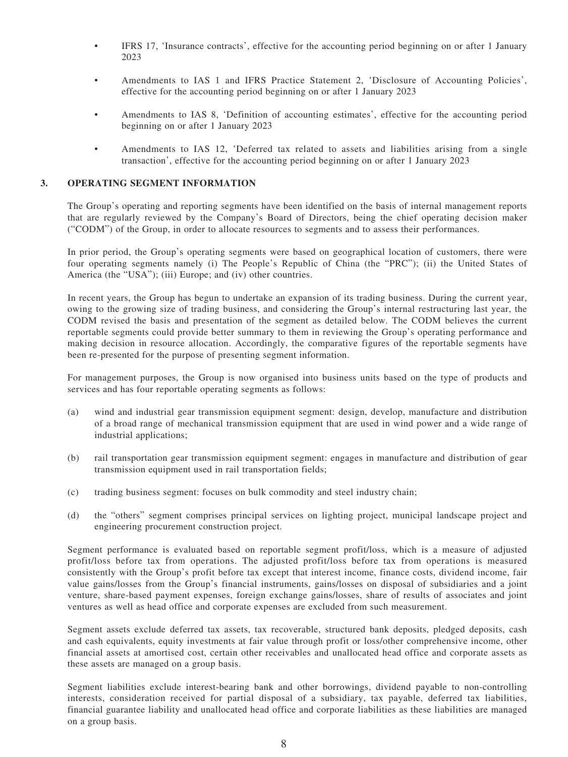- IFRS 17, 'Insurance contracts', effective for the accounting period beginning on or after 1 January 2023
- Amendments to IAS 1 and IFRS Practice Statement 2, 'Disclosure of Accounting Policies', effective for the accounting period beginning on or after 1 January 2023
- Amendments to IAS 8, 'Definition of accounting estimates', effective for the accounting period beginning on or after 1 January 2023
- Amendments to IAS 12, 'Deferred tax related to assets and liabilities arising from a single transaction', effective for the accounting period beginning on or after 1 January 2023

#### **3. OPERATING SEGMENT INFORMATION**

The Group's operating and reporting segments have been identified on the basis of internal management reports that are regularly reviewed by the Company's Board of Directors, being the chief operating decision maker ("CODM") of the Group, in order to allocate resources to segments and to assess their performances.

In prior period, the Group's operating segments were based on geographical location of customers, there were four operating segments namely (i) The People's Republic of China (the "PRC"); (ii) the United States of America (the "USA"); (iii) Europe; and (iv) other countries.

In recent years, the Group has begun to undertake an expansion of its trading business. During the current year, owing to the growing size of trading business, and considering the Group's internal restructuring last year, the CODM revised the basis and presentation of the segment as detailed below. The CODM believes the current reportable segments could provide better summary to them in reviewing the Group's operating performance and making decision in resource allocation. Accordingly, the comparative figures of the reportable segments have been re-presented for the purpose of presenting segment information.

For management purposes, the Group is now organised into business units based on the type of products and services and has four reportable operating segments as follows:

- (a) wind and industrial gear transmission equipment segment: design, develop, manufacture and distribution of a broad range of mechanical transmission equipment that are used in wind power and a wide range of industrial applications;
- (b) rail transportation gear transmission equipment segment: engages in manufacture and distribution of gear transmission equipment used in rail transportation fields;
- (c) trading business segment: focuses on bulk commodity and steel industry chain;
- (d) the "others" segment comprises principal services on lighting project, municipal landscape project and engineering procurement construction project.

Segment performance is evaluated based on reportable segment profit/loss, which is a measure of adjusted profit/loss before tax from operations. The adjusted profit/loss before tax from operations is measured consistently with the Group's profit before tax except that interest income, finance costs, dividend income, fair value gains/losses from the Group's financial instruments, gains/losses on disposal of subsidiaries and a joint venture, share-based payment expenses, foreign exchange gains/losses, share of results of associates and joint ventures as well as head office and corporate expenses are excluded from such measurement.

Segment assets exclude deferred tax assets, tax recoverable, structured bank deposits, pledged deposits, cash and cash equivalents, equity investments at fair value through profit or loss/other comprehensive income, other financial assets at amortised cost, certain other receivables and unallocated head office and corporate assets as these assets are managed on a group basis.

Segment liabilities exclude interest-bearing bank and other borrowings, dividend payable to non-controlling interests, consideration received for partial disposal of a subsidiary, tax payable, deferred tax liabilities, financial guarantee liability and unallocated head office and corporate liabilities as these liabilities are managed on a group basis.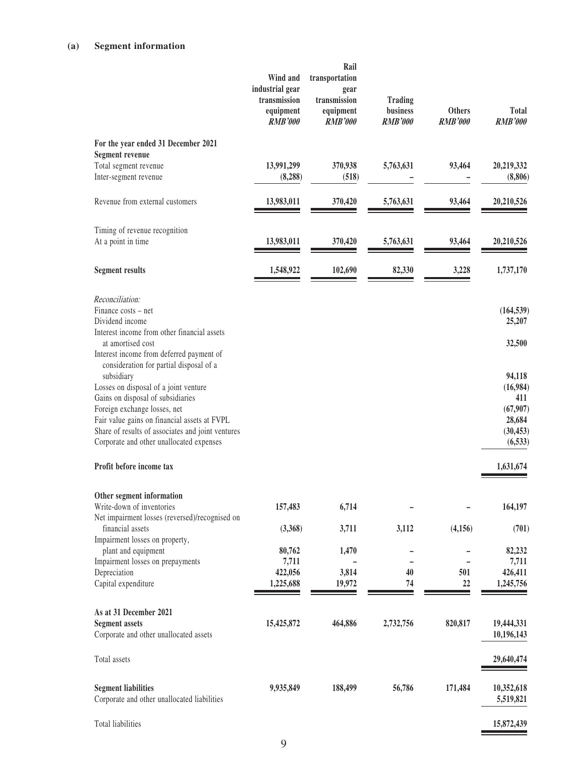### **(a) Segment information**

|                                                                                                              | Wind and<br>industrial gear<br>transmission<br>equipment<br><b>RMB'000</b> | Rail<br>transportation<br>gear<br>transmission<br>equipment<br><b>RMB'000</b> | Trading<br>business<br><b>RMB'000</b> | <b>Others</b><br><b>RMB'000</b> | Total<br><b>RMB'000</b>  |
|--------------------------------------------------------------------------------------------------------------|----------------------------------------------------------------------------|-------------------------------------------------------------------------------|---------------------------------------|---------------------------------|--------------------------|
| For the year ended 31 December 2021                                                                          |                                                                            |                                                                               |                                       |                                 |                          |
| <b>Segment revenue</b><br>Total segment revenue                                                              | 13,991,299                                                                 | 370,938                                                                       | 5,763,631                             | 93,464                          | 20,219,332               |
| Inter-segment revenue                                                                                        | (8, 288)                                                                   | (518)                                                                         |                                       |                                 | (8,806)                  |
| Revenue from external customers                                                                              | 13,983,011                                                                 | 370,420                                                                       | 5,763,631                             | 93,464                          | 20,210,526               |
| Timing of revenue recognition                                                                                |                                                                            |                                                                               |                                       |                                 |                          |
| At a point in time                                                                                           | 13,983,011                                                                 | 370,420                                                                       | 5,763,631                             | 93,464                          | 20,210,526               |
| <b>Segment results</b>                                                                                       | 1,548,922                                                                  | 102,690                                                                       | 82,330                                | 3,228                           | 1,737,170                |
| Reconciliation:                                                                                              |                                                                            |                                                                               |                                       |                                 |                          |
| Finance costs – net<br>Dividend income                                                                       |                                                                            |                                                                               |                                       |                                 | (164, 539)<br>25,207     |
| Interest income from other financial assets<br>at amortised cost<br>Interest income from deferred payment of |                                                                            |                                                                               |                                       |                                 | 32,500                   |
| consideration for partial disposal of a<br>subsidiary                                                        |                                                                            |                                                                               |                                       |                                 | 94,118                   |
| Losses on disposal of a joint venture<br>Gains on disposal of subsidiaries                                   |                                                                            |                                                                               |                                       |                                 | (16,984)<br>411          |
| Foreign exchange losses, net                                                                                 |                                                                            |                                                                               |                                       |                                 | (67,907)                 |
| Fair value gains on financial assets at FVPL<br>Share of results of associates and joint ventures            |                                                                            |                                                                               |                                       |                                 | 28,684<br>(30, 453)      |
| Corporate and other unallocated expenses                                                                     |                                                                            |                                                                               |                                       |                                 | (6, 533)                 |
| Profit before income tax                                                                                     |                                                                            |                                                                               |                                       |                                 | 1,631,674                |
| Other segment information                                                                                    |                                                                            |                                                                               |                                       |                                 |                          |
| Write-down of inventories<br>Net impairment losses (reversed)/recognised on                                  | 157,483                                                                    | 6,714                                                                         |                                       |                                 | 164,197                  |
| financial assets<br>Impairment losses on property,                                                           | (3,368)                                                                    | 3,711                                                                         | 3,112                                 | (4, 156)                        | (701)                    |
| plant and equipment                                                                                          | 80,762                                                                     | 1,470                                                                         |                                       |                                 | 82,232                   |
| Impairment losses on prepayments<br>Depreciation                                                             | 7,711<br>422,056                                                           | 3,814                                                                         | 40                                    | 501                             | 7,711<br>426,411         |
| Capital expenditure                                                                                          | 1,225,688                                                                  | 19,972                                                                        | 74                                    | 22                              | 1,245,756                |
| As at 31 December 2021                                                                                       |                                                                            |                                                                               |                                       |                                 |                          |
| <b>Segment assets</b><br>Corporate and other unallocated assets                                              | 15,425,872                                                                 | 464,886                                                                       | 2,732,756                             | 820,817                         | 19,444,331<br>10,196,143 |
| Total assets                                                                                                 |                                                                            |                                                                               |                                       |                                 | 29,640,474               |
| <b>Segment liabilities</b><br>Corporate and other unallocated liabilities                                    | 9,935,849                                                                  | 188,499                                                                       | 56,786                                | 171,484                         | 10,352,618<br>5,519,821  |
| Total liabilities                                                                                            |                                                                            |                                                                               |                                       |                                 | 15,872,439               |

9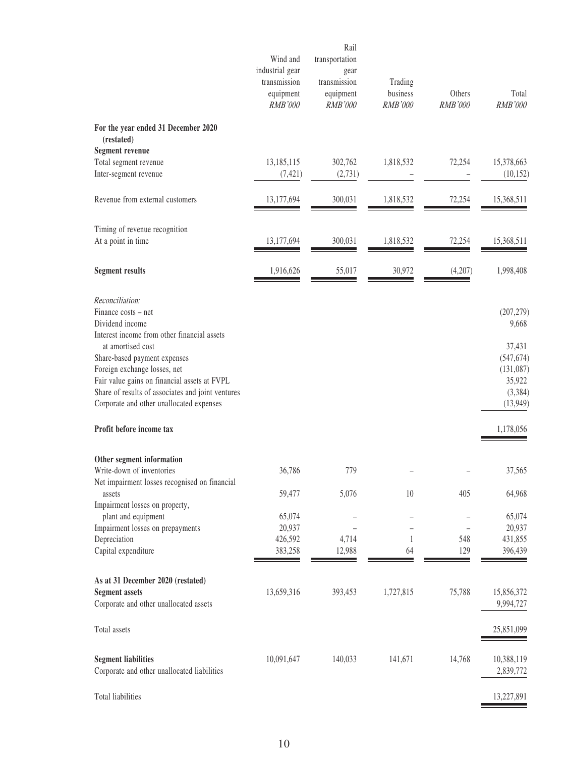|                                                                                                                                                                                                                                    | Wind and<br>industrial gear<br>transmission<br>equipment<br>RMB'000 | Rail<br>transportation<br>gear<br>transmission<br>equipment<br><b>RMB'000</b> | Trading<br>business<br><b>RMB'000</b> | Others<br><b>RMB'000</b> | Total<br>RMB'000                                                    |
|------------------------------------------------------------------------------------------------------------------------------------------------------------------------------------------------------------------------------------|---------------------------------------------------------------------|-------------------------------------------------------------------------------|---------------------------------------|--------------------------|---------------------------------------------------------------------|
| For the year ended 31 December 2020<br>(restated)                                                                                                                                                                                  |                                                                     |                                                                               |                                       |                          |                                                                     |
| <b>Segment revenue</b><br>Total segment revenue<br>Inter-segment revenue                                                                                                                                                           | 13,185,115<br>(7, 421)                                              | 302,762<br>(2,731)                                                            | 1,818,532                             | 72,254                   | 15,378,663<br>(10, 152)                                             |
| Revenue from external customers                                                                                                                                                                                                    | 13,177,694                                                          | 300,031                                                                       | 1,818,532                             | 72,254                   | 15,368,511                                                          |
| Timing of revenue recognition<br>At a point in time                                                                                                                                                                                | 13,177,694                                                          | 300,031                                                                       | 1,818,532                             | 72,254                   | 15,368,511                                                          |
| <b>Segment results</b>                                                                                                                                                                                                             | 1,916,626                                                           | 55,017                                                                        | 30,972                                | (4,207)                  | 1,998,408                                                           |
| Reconciliation:<br>Finance costs – net<br>Dividend income<br>Interest income from other financial assets                                                                                                                           |                                                                     |                                                                               |                                       |                          | (207, 279)<br>9,668                                                 |
| at amortised cost<br>Share-based payment expenses<br>Foreign exchange losses, net<br>Fair value gains on financial assets at FVPL<br>Share of results of associates and joint ventures<br>Corporate and other unallocated expenses |                                                                     |                                                                               |                                       |                          | 37,431<br>(547, 674)<br>(131,087)<br>35,922<br>(3, 384)<br>(13,949) |
| Profit before income tax                                                                                                                                                                                                           |                                                                     |                                                                               |                                       |                          | 1,178,056                                                           |
| Other segment information<br>Write-down of inventories<br>Net impairment losses recognised on financial                                                                                                                            | 36,786                                                              | 779                                                                           |                                       |                          | 37,565                                                              |
| assets<br>Impairment losses on property,                                                                                                                                                                                           | 59,477                                                              | 5,076                                                                         | 10                                    | 405                      | 64,968                                                              |
| plant and equipment<br>Impairment losses on prepayments<br>Depreciation<br>Capital expenditure                                                                                                                                     | 65,074<br>20,937<br>426,592<br>383,258                              | 4,714<br>12,988                                                               | 1<br>64                               | 548<br>129               | 65,074<br>20,937<br>431,855<br>396,439                              |
| As at 31 December 2020 (restated)<br><b>Segment assets</b><br>Corporate and other unallocated assets                                                                                                                               | 13,659,316                                                          | 393,453                                                                       | 1,727,815                             | 75,788                   | 15,856,372<br>9,994,727                                             |
| Total assets                                                                                                                                                                                                                       |                                                                     |                                                                               |                                       |                          | 25,851,099                                                          |
| <b>Segment liabilities</b><br>Corporate and other unallocated liabilities                                                                                                                                                          | 10,091,647                                                          | 140,033                                                                       | 141,671                               | 14,768                   | 10,388,119<br>2,839,772                                             |
| Total liabilities                                                                                                                                                                                                                  |                                                                     |                                                                               |                                       |                          | 13,227,891                                                          |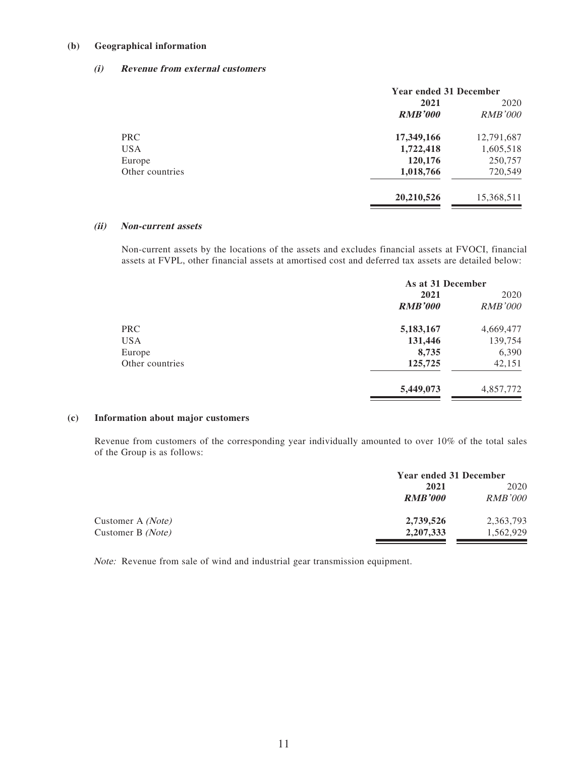#### **(b) Geographical information**

#### **(i) Revenue from external customers**

|                 | <b>Year ended 31 December</b> |                |  |
|-----------------|-------------------------------|----------------|--|
|                 | 2021                          | 2020           |  |
|                 | <b>RMB'000</b>                | <i>RMB'000</i> |  |
| <b>PRC</b>      | 17,349,166                    | 12,791,687     |  |
| <b>USA</b>      | 1,722,418                     | 1,605,518      |  |
| Europe          | 120,176                       | 250,757        |  |
| Other countries | 1,018,766                     | 720,549        |  |
|                 | 20,210,526                    | 15,368,511     |  |

#### **(ii) Non-current assets**

Non-current assets by the locations of the assets and excludes financial assets at FVOCI, financial assets at FVPL, other financial assets at amortised cost and deferred tax assets are detailed below:

|                 | As at 31 December |                |  |
|-----------------|-------------------|----------------|--|
|                 | 2021              | 2020           |  |
|                 | <b>RMB'000</b>    | <b>RMB'000</b> |  |
| <b>PRC</b>      | 5,183,167         | 4,669,477      |  |
| <b>USA</b>      | 131,446           | 139,754        |  |
| Europe          | 8,735             | 6,390          |  |
| Other countries | 125,725           | 42,151         |  |
|                 | 5,449,073         | 4,857,772      |  |

#### **(c) Information about major customers**

Revenue from customers of the corresponding year individually amounted to over 10% of the total sales of the Group is as follows:

|                   | <b>Year ended 31 December</b> |                |
|-------------------|-------------------------------|----------------|
|                   | 2021                          | 2020           |
|                   | <b>RMB'000</b>                | <i>RMB'000</i> |
| Customer A (Note) | 2,739,526                     | 2,363,793      |
| Customer B (Note) | 2, 207, 333                   | 1,562,929      |

Note: Revenue from sale of wind and industrial gear transmission equipment.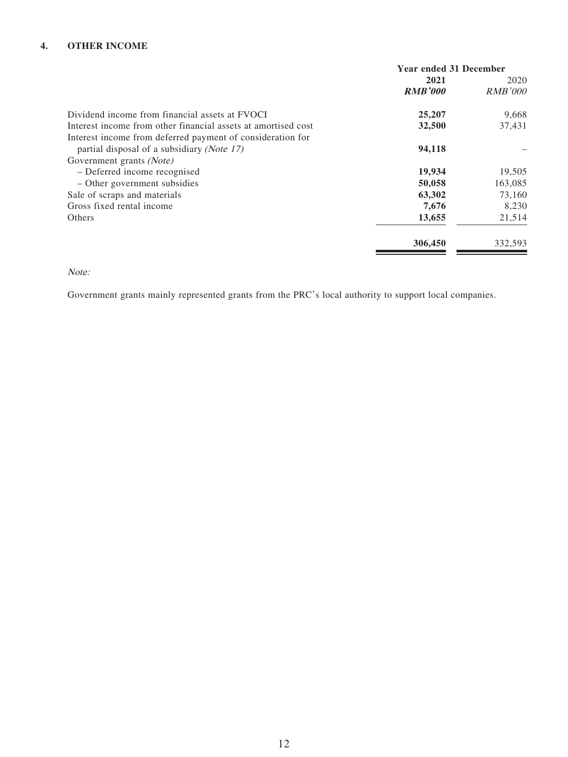#### **4. OTHER INCOME**

|                                                               | <b>Year ended 31 December</b> |                |
|---------------------------------------------------------------|-------------------------------|----------------|
|                                                               | 2021                          | 2020           |
|                                                               | <b>RMB'000</b>                | <b>RMB'000</b> |
| Dividend income from financial assets at FVOCI                | 25,207                        | 9,668          |
| Interest income from other financial assets at amortised cost | 32,500                        | 37,431         |
| Interest income from deferred payment of consideration for    |                               |                |
| partial disposal of a subsidiary (Note 17)                    | 94,118                        |                |
| Government grants (Note)                                      |                               |                |
| - Deferred income recognised                                  | 19,934                        | 19,505         |
| - Other government subsidies                                  | 50,058                        | 163,085        |
| Sale of scraps and materials                                  | 63,302                        | 73,160         |
| Gross fixed rental income                                     | 7,676                         | 8,230          |
| <b>Others</b>                                                 | 13,655                        | 21,514         |
|                                                               | 306,450                       | 332,593        |
|                                                               |                               |                |

Note:

Government grants mainly represented grants from the PRC's local authority to support local companies.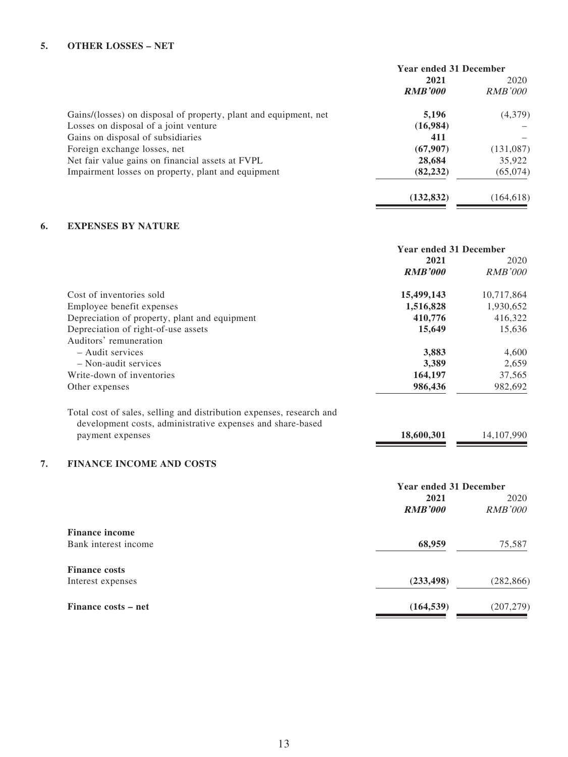|                                                                  | <b>Year ended 31 December</b> |                |  |
|------------------------------------------------------------------|-------------------------------|----------------|--|
|                                                                  | 2021                          | 2020           |  |
|                                                                  | <b>RMB'000</b>                | <i>RMB'000</i> |  |
| Gains/(losses) on disposal of property, plant and equipment, net | 5,196                         | (4,379)        |  |
| Losses on disposal of a joint venture                            | (16,984)                      |                |  |
| Gains on disposal of subsidiaries                                | 411                           |                |  |
| Foreign exchange losses, net                                     | (67,907)                      | (131,087)      |  |
| Net fair value gains on financial assets at FVPL                 | 28,684                        | 35,922         |  |
| Impairment losses on property, plant and equipment               | (82, 232)                     | (65,074)       |  |
|                                                                  | (132, 832)                    | (164, 618)     |  |
|                                                                  |                               |                |  |

### **6. EXPENSES BY NATURE**

|                                                                                                                                    | <b>Year ended 31 December</b> |                |
|------------------------------------------------------------------------------------------------------------------------------------|-------------------------------|----------------|
|                                                                                                                                    | 2021                          | 2020           |
|                                                                                                                                    | <b>RMB'000</b>                | <b>RMB'000</b> |
| Cost of inventories sold                                                                                                           | 15,499,143                    | 10,717,864     |
| Employee benefit expenses                                                                                                          | 1,516,828                     | 1,930,652      |
| Depreciation of property, plant and equipment                                                                                      | 410,776                       | 416,322        |
| Depreciation of right-of-use assets                                                                                                | 15,649                        | 15,636         |
| Auditors' remuneration                                                                                                             |                               |                |
| $-$ Audit services                                                                                                                 | 3,883                         | 4,600          |
| $-$ Non-audit services                                                                                                             | 3,389                         | 2,659          |
| Write-down of inventories                                                                                                          | 164,197                       | 37,565         |
| Other expenses                                                                                                                     | 986,436                       | 982,692        |
| Total cost of sales, selling and distribution expenses, research and<br>development costs, administrative expenses and share-based |                               |                |
| payment expenses                                                                                                                   | 18,600,301                    | 14,107,990     |
| <b>FINANCE INCOME AND COSTS</b>                                                                                                    |                               |                |
|                                                                                                                                    | <b>Year ended 31 December</b> |                |
|                                                                                                                                    | 2021                          | 2020           |
|                                                                                                                                    | <b>RMB'000</b>                | <b>RMB'000</b> |
| <b>Finance income</b>                                                                                                              |                               |                |
| Bank interest income                                                                                                               | 68,959                        | 75,587         |

| <b>Finance costs</b> |            |            |
|----------------------|------------|------------|
| Interest expenses    | (233, 498) | (282, 866) |
| Finance costs – net  | (164, 539) | (207, 279) |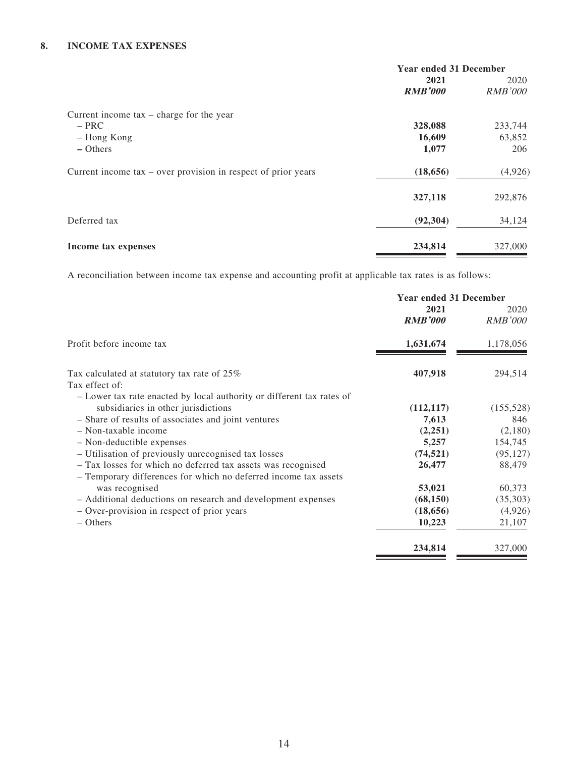#### **8. INCOME TAX EXPENSES**

|                                                                 | <b>Year ended 31 December</b> |                |
|-----------------------------------------------------------------|-------------------------------|----------------|
|                                                                 | 2021                          | 2020           |
|                                                                 | <b>RMB'000</b>                | <i>RMB'000</i> |
| Current income $tax - charge$ for the year                      |                               |                |
| $-$ PRC                                                         | 328,088                       | 233,744        |
| - Hong Kong                                                     | 16,609                        | 63,852         |
| $-$ Others                                                      | 1,077                         | 206            |
| Current income $tax - over$ provision in respect of prior years | (18, 656)                     | (4,926)        |
|                                                                 | 327,118                       | 292,876        |
| Deferred tax                                                    | (92, 304)                     | 34,124         |
| Income tax expenses                                             | 234,814                       | 327,000        |

A reconciliation between income tax expense and accounting profit at applicable tax rates is as follows:

|                                                                       | <b>Year ended 31 December</b> |                        |
|-----------------------------------------------------------------------|-------------------------------|------------------------|
|                                                                       | 2021<br><b>RMB'000</b>        | 2020<br><i>RMB'000</i> |
| Profit before income tax                                              | 1,631,674                     | 1,178,056              |
| Tax calculated at statutory tax rate of 25%                           | 407,918                       | 294,514                |
| Tax effect of:                                                        |                               |                        |
| - Lower tax rate enacted by local authority or different tax rates of |                               |                        |
| subsidiaries in other jurisdictions                                   | (112, 117)                    | (155, 528)             |
| - Share of results of associates and joint ventures                   | 7,613                         | 846                    |
| $-$ Non-taxable income                                                | (2,251)                       | (2,180)                |
| $-$ Non-deductible expenses                                           | 5,257                         | 154,745                |
| - Utilisation of previously unrecognised tax losses                   | (74, 521)                     | (95, 127)              |
| - Tax losses for which no deferred tax assets was recognised          | 26,477                        | 88,479                 |
| - Temporary differences for which no deferred income tax assets       |                               |                        |
| was recognised                                                        | 53,021                        | 60,373                 |
| - Additional deductions on research and development expenses          | (68, 150)                     | (35,303)               |
| - Over-provision in respect of prior years                            | (18, 656)                     | (4,926)                |
| $-$ Others                                                            | 10,223                        | 21,107                 |
|                                                                       | 234,814                       | 327,000                |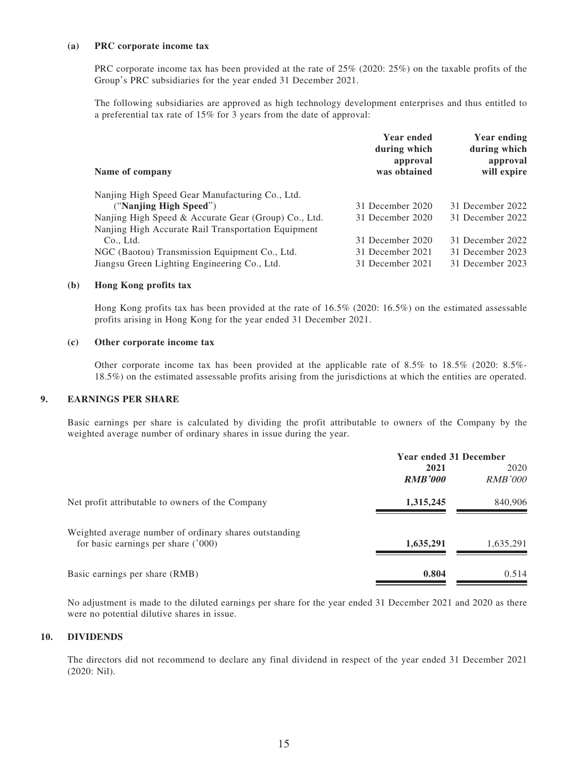#### **(a) PRC corporate income tax**

PRC corporate income tax has been provided at the rate of 25% (2020: 25%) on the taxable profits of the Group's PRC subsidiaries for the year ended 31 December 2021.

The following subsidiaries are approved as high technology development enterprises and thus entitled to a preferential tax rate of 15% for 3 years from the date of approval:

|                                                      | <b>Year ended</b><br>during which<br>approval | <b>Year ending</b><br>during which<br>approval |
|------------------------------------------------------|-----------------------------------------------|------------------------------------------------|
| Name of company                                      | was obtained                                  | will expire                                    |
| Nanjing High Speed Gear Manufacturing Co., Ltd.      |                                               |                                                |
| ("Nanjing High Speed")                               | 31 December 2020                              | 31 December 2022                               |
| Nanjing High Speed & Accurate Gear (Group) Co., Ltd. | 31 December 2020                              | 31 December 2022                               |
| Nanjing High Accurate Rail Transportation Equipment  |                                               |                                                |
| Co., Ltd.                                            | 31 December 2020                              | 31 December 2022                               |
| NGC (Baotou) Transmission Equipment Co., Ltd.        | 31 December 2021                              | 31 December 2023                               |
| Jiangsu Green Lighting Engineering Co., Ltd.         | 31 December 2021                              | 31 December 2023                               |

#### **(b) Hong Kong profits tax**

Hong Kong profits tax has been provided at the rate of 16.5% (2020: 16.5%) on the estimated assessable profits arising in Hong Kong for the year ended 31 December 2021.

#### **(c) Other corporate income tax**

Other corporate income tax has been provided at the applicable rate of 8.5% to 18.5% (2020: 8.5%- 18.5%) on the estimated assessable profits arising from the jurisdictions at which the entities are operated.

#### **9. EARNINGS PER SHARE**

Basic earnings per share is calculated by dividing the profit attributable to owners of the Company by the weighted average number of ordinary shares in issue during the year.

|                                                                                                | <b>Year ended 31 December</b> |                        |
|------------------------------------------------------------------------------------------------|-------------------------------|------------------------|
|                                                                                                | 2021<br><b>RMB'000</b>        | 2020<br><i>RMB'000</i> |
| Net profit attributable to owners of the Company                                               | 1,315,245                     | 840,906                |
| Weighted average number of ordinary shares outstanding<br>for basic earnings per share $(000)$ | 1,635,291                     | 1,635,291              |
| Basic earnings per share (RMB)                                                                 | 0.804                         | 0.514                  |

No adjustment is made to the diluted earnings per share for the year ended 31 December 2021 and 2020 as there were no potential dilutive shares in issue.

#### **10. DIVIDENDS**

The directors did not recommend to declare any final dividend in respect of the year ended 31 December 2021 (2020: Nil).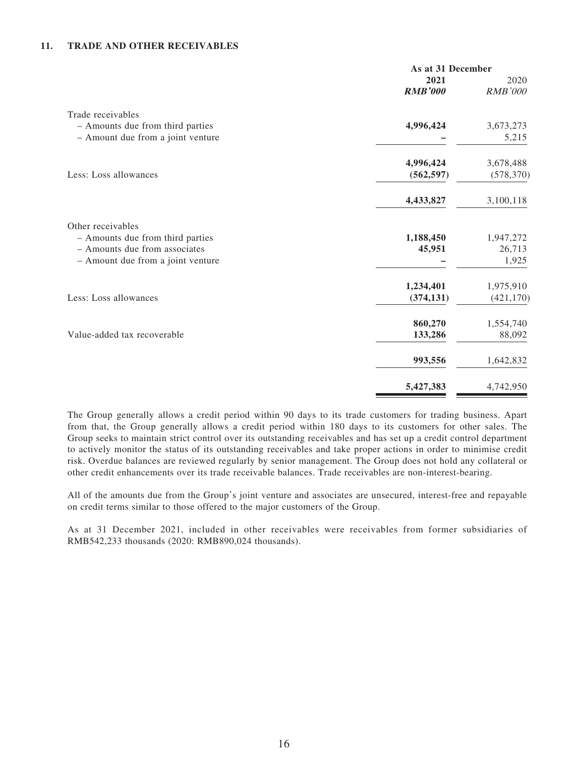#### **11. TRADE AND OTHER RECEIVABLES**

|                                   | As at 31 December |                |
|-----------------------------------|-------------------|----------------|
|                                   | 2021              | 2020           |
|                                   | <b>RMB'000</b>    | <b>RMB'000</b> |
| Trade receivables                 |                   |                |
| - Amounts due from third parties  | 4,996,424         | 3,673,273      |
| - Amount due from a joint venture |                   | 5,215          |
|                                   | 4,996,424         | 3,678,488      |
| Less: Loss allowances             | (562, 597)        | (578, 370)     |
|                                   | 4,433,827         | 3,100,118      |
| Other receivables                 |                   |                |
| - Amounts due from third parties  | 1,188,450         | 1,947,272      |
| - Amounts due from associates     | 45,951            | 26,713         |
| - Amount due from a joint venture |                   | 1,925          |
|                                   | 1,234,401         | 1,975,910      |
| Less: Loss allowances             | (374, 131)        | (421, 170)     |
|                                   | 860,270           | 1,554,740      |
| Value-added tax recoverable       | 133,286           | 88,092         |
|                                   | 993,556           | 1,642,832      |
|                                   | 5,427,383         | 4,742,950      |

The Group generally allows a credit period within 90 days to its trade customers for trading business. Apart from that, the Group generally allows a credit period within 180 days to its customers for other sales. The Group seeks to maintain strict control over its outstanding receivables and has set up a credit control department to actively monitor the status of its outstanding receivables and take proper actions in order to minimise credit risk. Overdue balances are reviewed regularly by senior management. The Group does not hold any collateral or other credit enhancements over its trade receivable balances. Trade receivables are non-interest-bearing.

All of the amounts due from the Group's joint venture and associates are unsecured, interest-free and repayable on credit terms similar to those offered to the major customers of the Group.

As at 31 December 2021, included in other receivables were receivables from former subsidiaries of RMB542,233 thousands (2020: RMB890,024 thousands).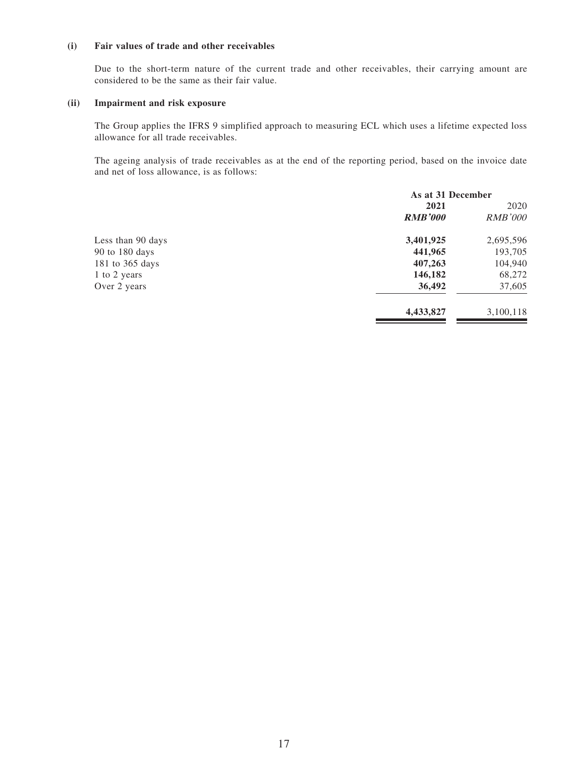#### **(i) Fair values of trade and other receivables**

Due to the short-term nature of the current trade and other receivables, their carrying amount are considered to be the same as their fair value.

#### **(ii) Impairment and risk exposure**

The Group applies the IFRS 9 simplified approach to measuring ECL which uses a lifetime expected loss allowance for all trade receivables.

The ageing analysis of trade receivables as at the end of the reporting period, based on the invoice date and net of loss allowance, is as follows:

|                   | As at 31 December |                |
|-------------------|-------------------|----------------|
|                   | 2021              | 2020           |
|                   | <b>RMB'000</b>    | <i>RMB'000</i> |
| Less than 90 days | 3,401,925         | 2,695,596      |
| 90 to 180 days    | 441,965           | 193,705        |
| 181 to 365 days   | 407,263           | 104,940        |
| 1 to 2 years      | 146,182           | 68,272         |
| Over 2 years      | 36,492            | 37,605         |
|                   | 4,433,827         | 3,100,118      |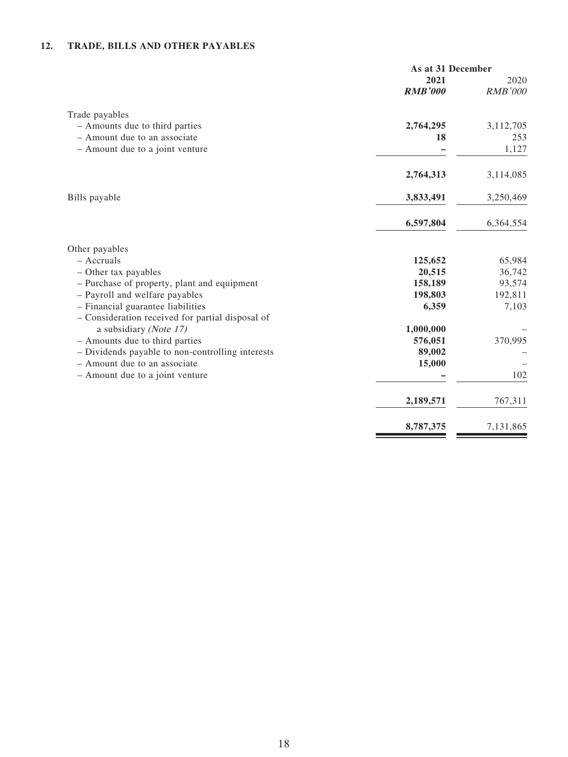### **12. TRADE, BILLS AND OTHER PAYABLES**

|                                                                                       | As at 31 December      |                        |
|---------------------------------------------------------------------------------------|------------------------|------------------------|
|                                                                                       | 2021<br><b>RMB'000</b> | 2020<br><b>RMB'000</b> |
| Trade payables                                                                        |                        |                        |
| - Amounts due to third parties                                                        | 2,764,295              | 3,112,705              |
| - Amount due to an associate                                                          | 18                     | 253                    |
| - Amount due to a joint venture                                                       |                        | 1,127                  |
|                                                                                       | 2,764,313              | 3,114,085              |
| Bills payable                                                                         | 3,833,491              | 3,250,469              |
|                                                                                       | 6,597,804              | 6,364,554              |
| Other payables                                                                        |                        |                        |
| $-$ Accruals                                                                          | 125,652                | 65,984                 |
| - Other tax payables                                                                  | 20,515                 | 36,742                 |
| - Purchase of property, plant and equipment                                           | 158,189                | 93,574                 |
| - Payroll and welfare payables                                                        | 198,803                | 192,811                |
| - Financial guarantee liabilities<br>- Consideration received for partial disposal of | 6,359                  | 7,103                  |
| a subsidiary (Note 17)                                                                | 1,000,000              |                        |
| - Amounts due to third parties                                                        | 576,051                | 370,995                |
| - Dividends payable to non-controlling interests                                      | 89,002                 |                        |
| - Amount due to an associate                                                          | 15,000                 |                        |
| - Amount due to a joint venture                                                       |                        | 102                    |
|                                                                                       | 2,189,571              | 767,311                |
|                                                                                       | 8,787,375              | 7,131,865              |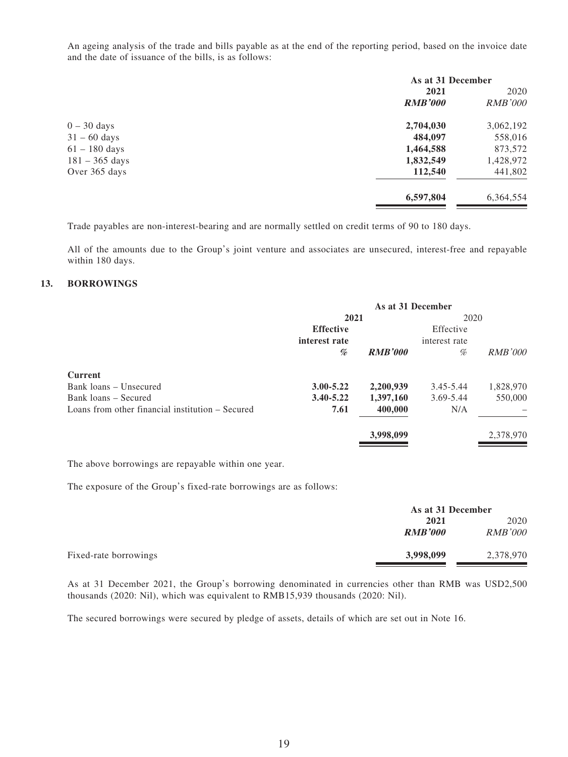An ageing analysis of the trade and bills payable as at the end of the reporting period, based on the invoice date and the date of issuance of the bills, is as follows:

|                          | As at 31 December |                |
|--------------------------|-------------------|----------------|
|                          | 2021              | 2020           |
|                          | <b>RMB'000</b>    | <i>RMB'000</i> |
| $0 - 30$ days            | 2,704,030         | 3,062,192      |
| $31 - 60$ days           | 484,097           | 558,016        |
| $61 - 180$ days          | 1,464,588         | 873,572        |
| $181 - 365 \text{ days}$ | 1,832,549         | 1,428,972      |
| Over 365 days            | 112,540           | 441,802        |
|                          | 6,597,804         | 6,364,554      |
|                          |                   |                |

Trade payables are non-interest-bearing and are normally settled on credit terms of 90 to 180 days.

All of the amounts due to the Group's joint venture and associates are unsecured, interest-free and repayable within 180 days.

#### **13. BORROWINGS**

|                                                  | As at 31 December |                |               |                |
|--------------------------------------------------|-------------------|----------------|---------------|----------------|
|                                                  | 2021              |                | 2020          |                |
|                                                  | <b>Effective</b>  |                | Effective     |                |
|                                                  | interest rate     |                | interest rate |                |
|                                                  | %                 | <b>RMB'000</b> | %             | <i>RMB'000</i> |
| <b>Current</b>                                   |                   |                |               |                |
| Bank loans – Unsecured                           | $3.00 - 5.22$     | 2,200,939      | 3.45-5.44     | 1,828,970      |
| Bank loans – Secured                             | $3.40 - 5.22$     | 1,397,160      | 3.69-5.44     | 550,000        |
| Loans from other financial institution – Secured | 7.61              | 400,000        | N/A           |                |
|                                                  |                   | 3,998,099      |               | 2,378,970      |

The above borrowings are repayable within one year.

The exposure of the Group's fixed-rate borrowings are as follows:

|                       | As at 31 December |                |  |
|-----------------------|-------------------|----------------|--|
|                       | 2021              | 2020           |  |
|                       | <b>RMB'000</b>    | <b>RMB'000</b> |  |
| Fixed-rate borrowings | 3,998,099         | 2,378,970      |  |

As at 31 December 2021, the Group's borrowing denominated in currencies other than RMB was USD2,500 thousands (2020: Nil), which was equivalent to RMB15,939 thousands (2020: Nil).

The secured borrowings were secured by pledge of assets, details of which are set out in Note 16.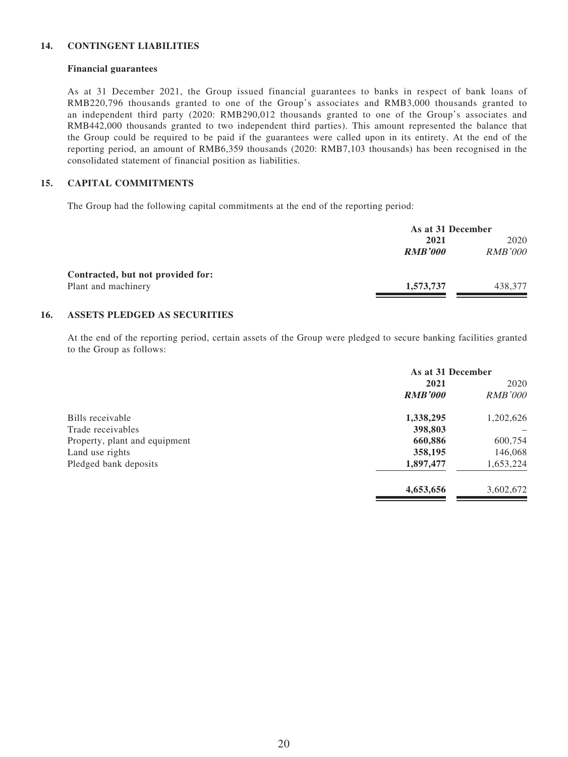#### **14. CONTINGENT LIABILITIES**

#### **Financial guarantees**

As at 31 December 2021, the Group issued financial guarantees to banks in respect of bank loans of RMB220,796 thousands granted to one of the Group's associates and RMB3,000 thousands granted to an independent third party (2020: RMB290,012 thousands granted to one of the Group's associates and RMB442,000 thousands granted to two independent third parties). This amount represented the balance that the Group could be required to be paid if the guarantees were called upon in its entirety. At the end of the reporting period, an amount of RMB6,359 thousands (2020: RMB7,103 thousands) has been recognised in the consolidated statement of financial position as liabilities.

#### **15. CAPITAL COMMITMENTS**

The Group had the following capital commitments at the end of the reporting period:

|                                   | As at 31 December |                |  |
|-----------------------------------|-------------------|----------------|--|
|                                   | 2021              | 2020           |  |
|                                   | <b>RMB'000</b>    | <i>RMB'000</i> |  |
| Contracted, but not provided for: |                   |                |  |
| Plant and machinery               | 1,573,737         | 438,377        |  |

#### **16. ASSETS PLEDGED AS SECURITIES**

At the end of the reporting period, certain assets of the Group were pledged to secure banking facilities granted to the Group as follows:

| As at 31 December |                |  |
|-------------------|----------------|--|
| 2021              | 2020           |  |
| <b>RMB'000</b>    | <b>RMB'000</b> |  |
| 1,338,295         | 1,202,626      |  |
| 398,803           |                |  |
| 660,886           | 600,754        |  |
| 358,195           | 146,068        |  |
| 1,897,477         | 1,653,224      |  |
| 4,653,656         | 3,602,672      |  |
|                   |                |  |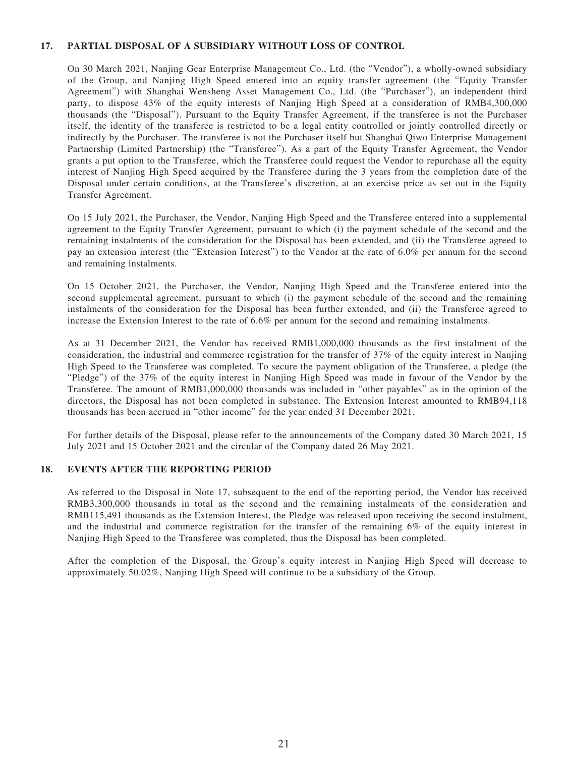#### **17. PARTIAL DISPOSAL OF A SUBSIDIARY WITHOUT LOSS OF CONTROL**

On 30 March 2021, Nanjing Gear Enterprise Management Co., Ltd. (the "Vendor"), a wholly-owned subsidiary of the Group, and Nanjing High Speed entered into an equity transfer agreement (the "Equity Transfer Agreement") with Shanghai Wensheng Asset Management Co., Ltd. (the "Purchaser"), an independent third party, to dispose 43% of the equity interests of Nanjing High Speed at a consideration of RMB4,300,000 thousands (the "Disposal"). Pursuant to the Equity Transfer Agreement, if the transferee is not the Purchaser itself, the identity of the transferee is restricted to be a legal entity controlled or jointly controlled directly or indirectly by the Purchaser. The transferee is not the Purchaser itself but Shanghai Qiwo Enterprise Management Partnership (Limited Partnership) (the "Transferee"). As a part of the Equity Transfer Agreement, the Vendor grants a put option to the Transferee, which the Transferee could request the Vendor to repurchase all the equity interest of Nanjing High Speed acquired by the Transferee during the 3 years from the completion date of the Disposal under certain conditions, at the Transferee's discretion, at an exercise price as set out in the Equity Transfer Agreement.

On 15 July 2021, the Purchaser, the Vendor, Nanjing High Speed and the Transferee entered into a supplemental agreement to the Equity Transfer Agreement, pursuant to which (i) the payment schedule of the second and the remaining instalments of the consideration for the Disposal has been extended, and (ii) the Transferee agreed to pay an extension interest (the "Extension Interest") to the Vendor at the rate of 6.0% per annum for the second and remaining instalments.

On 15 October 2021, the Purchaser, the Vendor, Nanjing High Speed and the Transferee entered into the second supplemental agreement, pursuant to which (i) the payment schedule of the second and the remaining instalments of the consideration for the Disposal has been further extended, and (ii) the Transferee agreed to increase the Extension Interest to the rate of 6.6% per annum for the second and remaining instalments.

As at 31 December 2021, the Vendor has received RMB1,000,000 thousands as the first instalment of the consideration, the industrial and commerce registration for the transfer of 37% of the equity interest in Nanjing High Speed to the Transferee was completed. To secure the payment obligation of the Transferee, a pledge (the "Pledge") of the 37% of the equity interest in Nanjing High Speed was made in favour of the Vendor by the Transferee. The amount of RMB1,000,000 thousands was included in "other payables" as in the opinion of the directors, the Disposal has not been completed in substance. The Extension Interest amounted to RMB94,118 thousands has been accrued in "other income" for the year ended 31 December 2021.

For further details of the Disposal, please refer to the announcements of the Company dated 30 March 2021, 15 July 2021 and 15 October 2021 and the circular of the Company dated 26 May 2021.

#### **18. EVENTS AFTER THE REPORTING PERIOD**

As referred to the Disposal in Note 17, subsequent to the end of the reporting period, the Vendor has received RMB3,300,000 thousands in total as the second and the remaining instalments of the consideration and RMB115,491 thousands as the Extension Interest, the Pledge was released upon receiving the second instalment, and the industrial and commerce registration for the transfer of the remaining 6% of the equity interest in Nanjing High Speed to the Transferee was completed, thus the Disposal has been completed.

After the completion of the Disposal, the Group's equity interest in Nanjing High Speed will decrease to approximately 50.02%, Nanjing High Speed will continue to be a subsidiary of the Group.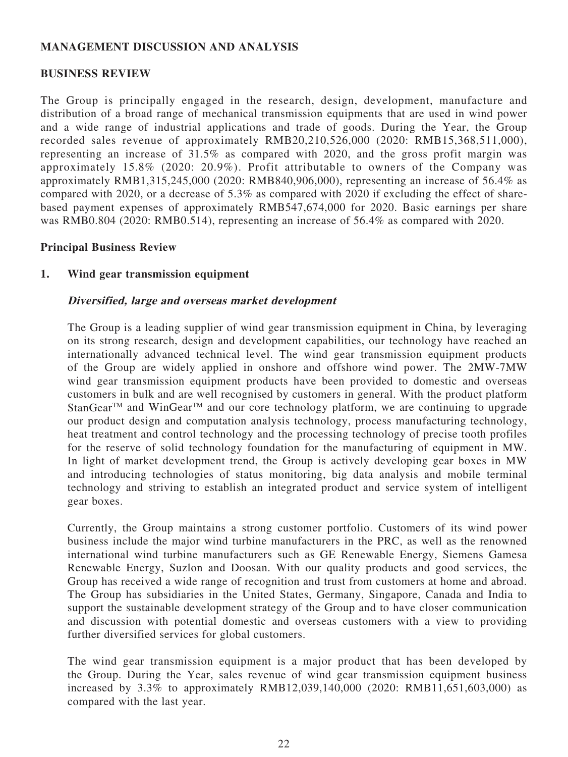## **MANAGEMENT DISCUSSION AND ANALYSIS**

### **BUSINESS REVIEW**

The Group is principally engaged in the research, design, development, manufacture and distribution of a broad range of mechanical transmission equipments that are used in wind power and a wide range of industrial applications and trade of goods. During the Year, the Group recorded sales revenue of approximately RMB20,210,526,000 (2020: RMB15,368,511,000), representing an increase of 31.5% as compared with 2020, and the gross profit margin was approximately 15.8% (2020: 20.9%). Profit attributable to owners of the Company was approximately RMB1,315,245,000 (2020: RMB840,906,000), representing an increase of 56.4% as compared with 2020, or a decrease of 5.3% as compared with 2020 if excluding the effect of sharebased payment expenses of approximately RMB547,674,000 for 2020. Basic earnings per share was RMB0.804 (2020: RMB0.514), representing an increase of 56.4% as compared with 2020.

### **Principal Business Review**

### **1. Wind gear transmission equipment**

### **Diversified, large and overseas market development**

The Group is a leading supplier of wind gear transmission equipment in China, by leveraging on its strong research, design and development capabilities, our technology have reached an internationally advanced technical level. The wind gear transmission equipment products of the Group are widely applied in onshore and offshore wind power. The 2MW-7MW wind gear transmission equipment products have been provided to domestic and overseas customers in bulk and are well recognised by customers in general. With the product platform StanGear<sup>TM</sup> and WinGear<sup>TM</sup> and our core technology platform, we are continuing to upgrade our product design and computation analysis technology, process manufacturing technology, heat treatment and control technology and the processing technology of precise tooth profiles for the reserve of solid technology foundation for the manufacturing of equipment in MW. In light of market development trend, the Group is actively developing gear boxes in MW and introducing technologies of status monitoring, big data analysis and mobile terminal technology and striving to establish an integrated product and service system of intelligent gear boxes.

Currently, the Group maintains a strong customer portfolio. Customers of its wind power business include the major wind turbine manufacturers in the PRC, as well as the renowned international wind turbine manufacturers such as GE Renewable Energy, Siemens Gamesa Renewable Energy, Suzlon and Doosan. With our quality products and good services, the Group has received a wide range of recognition and trust from customers at home and abroad. The Group has subsidiaries in the United States, Germany, Singapore, Canada and India to support the sustainable development strategy of the Group and to have closer communication and discussion with potential domestic and overseas customers with a view to providing further diversified services for global customers.

The wind gear transmission equipment is a major product that has been developed by the Group. During the Year, sales revenue of wind gear transmission equipment business increased by 3.3% to approximately RMB12,039,140,000 (2020: RMB11,651,603,000) as compared with the last year.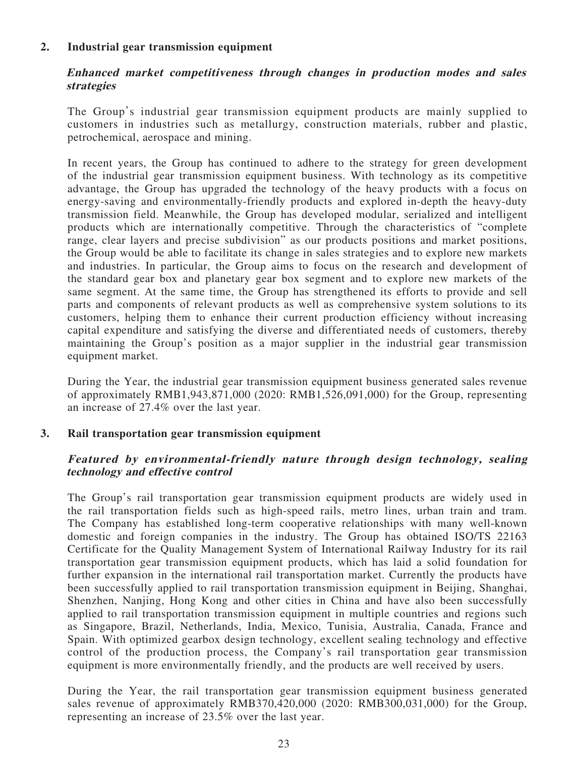## **2. Industrial gear transmission equipment**

## **Enhanced market competitiveness through changes in production modes and sales strategies**

The Group's industrial gear transmission equipment products are mainly supplied to customers in industries such as metallurgy, construction materials, rubber and plastic, petrochemical, aerospace and mining.

In recent years, the Group has continued to adhere to the strategy for green development of the industrial gear transmission equipment business. With technology as its competitive advantage, the Group has upgraded the technology of the heavy products with a focus on energy-saving and environmentally-friendly products and explored in-depth the heavy-duty transmission field. Meanwhile, the Group has developed modular, serialized and intelligent products which are internationally competitive. Through the characteristics of "complete range, clear layers and precise subdivision" as our products positions and market positions, the Group would be able to facilitate its change in sales strategies and to explore new markets and industries. In particular, the Group aims to focus on the research and development of the standard gear box and planetary gear box segment and to explore new markets of the same segment. At the same time, the Group has strengthened its efforts to provide and sell parts and components of relevant products as well as comprehensive system solutions to its customers, helping them to enhance their current production efficiency without increasing capital expenditure and satisfying the diverse and differentiated needs of customers, thereby maintaining the Group's position as a major supplier in the industrial gear transmission equipment market.

During the Year, the industrial gear transmission equipment business generated sales revenue of approximately RMB1,943,871,000 (2020: RMB1,526,091,000) for the Group, representing an increase of 27.4% over the last year.

### **3. Rail transportation gear transmission equipment**

### **Featured by environmental-friendly nature through design technology, sealing technology and effective control**

The Group's rail transportation gear transmission equipment products are widely used in the rail transportation fields such as high-speed rails, metro lines, urban train and tram. The Company has established long-term cooperative relationships with many well-known domestic and foreign companies in the industry. The Group has obtained ISO/TS 22163 Certificate for the Quality Management System of International Railway Industry for its rail transportation gear transmission equipment products, which has laid a solid foundation for further expansion in the international rail transportation market. Currently the products have been successfully applied to rail transportation transmission equipment in Beijing, Shanghai, Shenzhen, Nanjing, Hong Kong and other cities in China and have also been successfully applied to rail transportation transmission equipment in multiple countries and regions such as Singapore, Brazil, Netherlands, India, Mexico, Tunisia, Australia, Canada, France and Spain. With optimized gearbox design technology, excellent sealing technology and effective control of the production process, the Company's rail transportation gear transmission equipment is more environmentally friendly, and the products are well received by users.

During the Year, the rail transportation gear transmission equipment business generated sales revenue of approximately RMB370,420,000 (2020: RMB300,031,000) for the Group, representing an increase of 23.5% over the last year.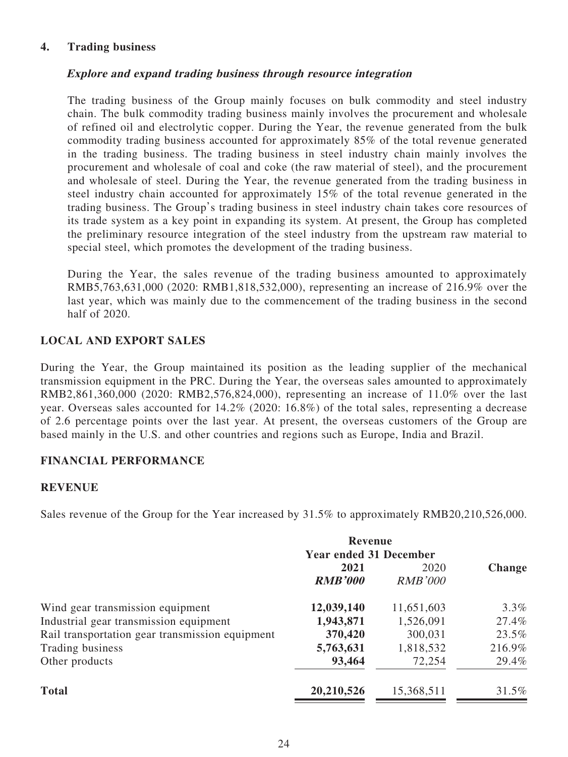## **4. Trading business**

## **Explore and expand trading business through resource integration**

The trading business of the Group mainly focuses on bulk commodity and steel industry chain. The bulk commodity trading business mainly involves the procurement and wholesale of refined oil and electrolytic copper. During the Year, the revenue generated from the bulk commodity trading business accounted for approximately 85% of the total revenue generated in the trading business. The trading business in steel industry chain mainly involves the procurement and wholesale of coal and coke (the raw material of steel), and the procurement and wholesale of steel. During the Year, the revenue generated from the trading business in steel industry chain accounted for approximately 15% of the total revenue generated in the trading business. The Group's trading business in steel industry chain takes core resources of its trade system as a key point in expanding its system. At present, the Group has completed the preliminary resource integration of the steel industry from the upstream raw material to special steel, which promotes the development of the trading business.

During the Year, the sales revenue of the trading business amounted to approximately RMB5,763,631,000 (2020: RMB1,818,532,000), representing an increase of 216.9% over the last year, which was mainly due to the commencement of the trading business in the second half of 2020.

## **LOCAL AND EXPORT SALES**

During the Year, the Group maintained its position as the leading supplier of the mechanical transmission equipment in the PRC. During the Year, the overseas sales amounted to approximately RMB2,861,360,000 (2020: RMB2,576,824,000), representing an increase of 11.0% over the last year. Overseas sales accounted for 14.2% (2020: 16.8%) of the total sales, representing a decrease of 2.6 percentage points over the last year. At present, the overseas customers of the Group are based mainly in the U.S. and other countries and regions such as Europe, India and Brazil.

## **FINANCIAL PERFORMANCE**

### **REVENUE**

Sales revenue of the Group for the Year increased by 31.5% to approximately RMB20,210,526,000.

|                                                 | <b>Revenue</b><br><b>Year ended 31 December</b> |                        |               |
|-------------------------------------------------|-------------------------------------------------|------------------------|---------------|
|                                                 | 2021<br><b>RMB'000</b>                          | 2020<br><b>RMB'000</b> | <b>Change</b> |
| Wind gear transmission equipment                | 12,039,140                                      | 11,651,603             | 3.3%          |
| Industrial gear transmission equipment          | 1,943,871                                       | 1,526,091              | 27.4%         |
| Rail transportation gear transmission equipment | 370,420                                         | 300,031                | 23.5%         |
| Trading business                                | 5,763,631                                       | 1,818,532              | 216.9%        |
| Other products                                  | 93,464                                          | 72,254                 | 29.4%         |
| <b>Total</b>                                    | 20,210,526                                      | 15,368,511             | 31.5%         |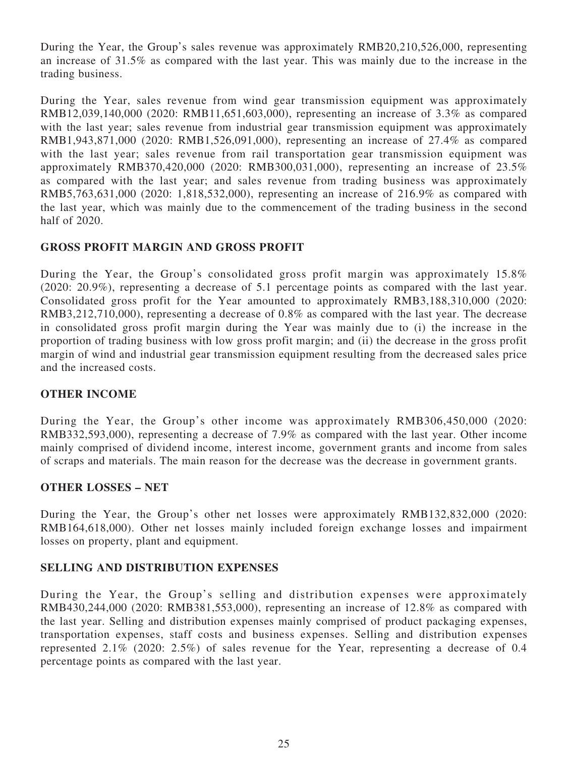During the Year, the Group's sales revenue was approximately RMB20,210,526,000, representing an increase of 31.5% as compared with the last year. This was mainly due to the increase in the trading business.

During the Year, sales revenue from wind gear transmission equipment was approximately RMB12,039,140,000 (2020: RMB11,651,603,000), representing an increase of 3.3% as compared with the last year; sales revenue from industrial gear transmission equipment was approximately RMB1,943,871,000 (2020: RMB1,526,091,000), representing an increase of 27.4% as compared with the last year; sales revenue from rail transportation gear transmission equipment was approximately RMB370,420,000 (2020: RMB300,031,000), representing an increase of 23.5% as compared with the last year; and sales revenue from trading business was approximately RMB5,763,631,000 (2020: 1,818,532,000), representing an increase of 216.9% as compared with the last year, which was mainly due to the commencement of the trading business in the second half of 2020.

## **GROSS PROFIT MARGIN AND GROSS PROFIT**

During the Year, the Group's consolidated gross profit margin was approximately 15.8% (2020: 20.9%), representing a decrease of 5.1 percentage points as compared with the last year. Consolidated gross profit for the Year amounted to approximately RMB3,188,310,000 (2020: RMB3,212,710,000), representing a decrease of 0.8% as compared with the last year. The decrease in consolidated gross profit margin during the Year was mainly due to (i) the increase in the proportion of trading business with low gross profit margin; and (ii) the decrease in the gross profit margin of wind and industrial gear transmission equipment resulting from the decreased sales price and the increased costs.

## **OTHER INCOME**

During the Year, the Group's other income was approximately RMB306,450,000 (2020: RMB332,593,000), representing a decrease of 7.9% as compared with the last year. Other income mainly comprised of dividend income, interest income, government grants and income from sales of scraps and materials. The main reason for the decrease was the decrease in government grants.

### **OTHER LOSSES – NET**

During the Year, the Group's other net losses were approximately RMB132,832,000 (2020: RMB164,618,000). Other net losses mainly included foreign exchange losses and impairment losses on property, plant and equipment.

### **SELLING AND DISTRIBUTION EXPENSES**

During the Year, the Group's selling and distribution expenses were approximately RMB430,244,000 (2020: RMB381,553,000), representing an increase of 12.8% as compared with the last year. Selling and distribution expenses mainly comprised of product packaging expenses, transportation expenses, staff costs and business expenses. Selling and distribution expenses represented 2.1% (2020: 2.5%) of sales revenue for the Year, representing a decrease of 0.4 percentage points as compared with the last year.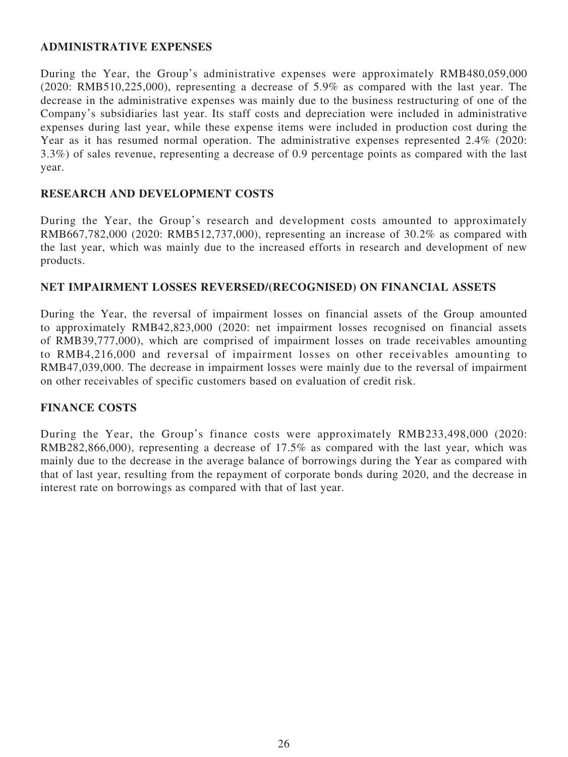## **ADMINISTRATIVE EXPENSES**

During the Year, the Group's administrative expenses were approximately RMB480,059,000 (2020: RMB510,225,000), representing a decrease of 5.9% as compared with the last year. The decrease in the administrative expenses was mainly due to the business restructuring of one of the Company's subsidiaries last year. Its staff costs and depreciation were included in administrative expenses during last year, while these expense items were included in production cost during the Year as it has resumed normal operation. The administrative expenses represented 2.4% (2020: 3.3%) of sales revenue, representing a decrease of 0.9 percentage points as compared with the last year.

# **RESEARCH AND DEVELOPMENT COSTS**

During the Year, the Group's research and development costs amounted to approximately RMB667,782,000 (2020: RMB512,737,000), representing an increase of 30.2% as compared with the last year, which was mainly due to the increased efforts in research and development of new products.

## **NET IMPAIRMENT LOSSES REVERSED/(RECOGNISED) ON FINANCIAL ASSETS**

During the Year, the reversal of impairment losses on financial assets of the Group amounted to approximately RMB42,823,000 (2020: net impairment losses recognised on financial assets of RMB39,777,000), which are comprised of impairment losses on trade receivables amounting to RMB4,216,000 and reversal of impairment losses on other receivables amounting to RMB47,039,000. The decrease in impairment losses were mainly due to the reversal of impairment on other receivables of specific customers based on evaluation of credit risk.

## **FINANCE COSTS**

During the Year, the Group's finance costs were approximately RMB233,498,000 (2020: RMB282,866,000), representing a decrease of 17.5% as compared with the last year, which was mainly due to the decrease in the average balance of borrowings during the Year as compared with that of last year, resulting from the repayment of corporate bonds during 2020, and the decrease in interest rate on borrowings as compared with that of last year.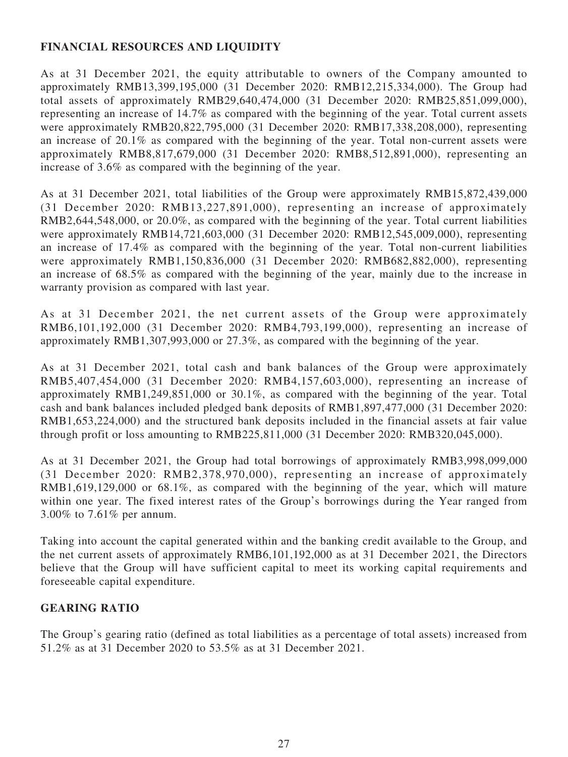# **FINANCIAL RESOURCES AND LIQUIDITY**

As at 31 December 2021, the equity attributable to owners of the Company amounted to approximately RMB13,399,195,000 (31 December 2020: RMB12,215,334,000). The Group had total assets of approximately RMB29,640,474,000 (31 December 2020: RMB25,851,099,000), representing an increase of 14.7% as compared with the beginning of the year. Total current assets were approximately RMB20,822,795,000 (31 December 2020: RMB17,338,208,000), representing an increase of 20.1% as compared with the beginning of the year. Total non-current assets were approximately RMB8,817,679,000 (31 December 2020: RMB8,512,891,000), representing an increase of 3.6% as compared with the beginning of the year.

As at 31 December 2021, total liabilities of the Group were approximately RMB15,872,439,000 (31 December 2020: RMB13,227,891,000), representing an increase of approximately RMB2,644,548,000, or 20.0%, as compared with the beginning of the year. Total current liabilities were approximately RMB14,721,603,000 (31 December 2020: RMB12,545,009,000), representing an increase of 17.4% as compared with the beginning of the year. Total non-current liabilities were approximately RMB1,150,836,000 (31 December 2020: RMB682,882,000), representing an increase of 68.5% as compared with the beginning of the year, mainly due to the increase in warranty provision as compared with last year.

As at 31 December 2021, the net current assets of the Group were approximately RMB6,101,192,000 (31 December 2020: RMB4,793,199,000), representing an increase of approximately RMB1,307,993,000 or 27.3%, as compared with the beginning of the year.

As at 31 December 2021, total cash and bank balances of the Group were approximately RMB5,407,454,000 (31 December 2020: RMB4,157,603,000), representing an increase of approximately RMB1,249,851,000 or 30.1%, as compared with the beginning of the year. Total cash and bank balances included pledged bank deposits of RMB1,897,477,000 (31 December 2020: RMB1,653,224,000) and the structured bank deposits included in the financial assets at fair value through profit or loss amounting to RMB225,811,000 (31 December 2020: RMB320,045,000).

As at 31 December 2021, the Group had total borrowings of approximately RMB3,998,099,000 (31 December 2020: RMB2,378,970,000), representing an increase of approximately RMB1,619,129,000 or 68.1%, as compared with the beginning of the year, which will mature within one year. The fixed interest rates of the Group's borrowings during the Year ranged from 3.00% to 7.61% per annum.

Taking into account the capital generated within and the banking credit available to the Group, and the net current assets of approximately RMB6,101,192,000 as at 31 December 2021, the Directors believe that the Group will have sufficient capital to meet its working capital requirements and foreseeable capital expenditure.

## **GEARING RATIO**

The Group's gearing ratio (defined as total liabilities as a percentage of total assets) increased from 51.2% as at 31 December 2020 to 53.5% as at 31 December 2021.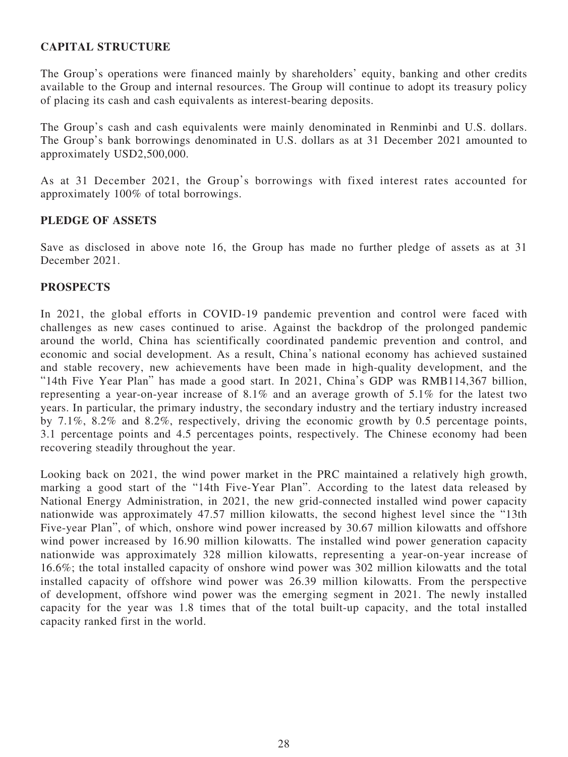## **CAPITAL STRUCTURE**

The Group's operations were financed mainly by shareholders' equity, banking and other credits available to the Group and internal resources. The Group will continue to adopt its treasury policy of placing its cash and cash equivalents as interest-bearing deposits.

The Group's cash and cash equivalents were mainly denominated in Renminbi and U.S. dollars. The Group's bank borrowings denominated in U.S. dollars as at 31 December 2021 amounted to approximately USD2,500,000.

As at 31 December 2021, the Group's borrowings with fixed interest rates accounted for approximately 100% of total borrowings.

### **PLEDGE OF ASSETS**

Save as disclosed in above note 16, the Group has made no further pledge of assets as at 31 December 2021.

### **PROSPECTS**

In 2021, the global efforts in COVID-19 pandemic prevention and control were faced with challenges as new cases continued to arise. Against the backdrop of the prolonged pandemic around the world, China has scientifically coordinated pandemic prevention and control, and economic and social development. As a result, China's national economy has achieved sustained and stable recovery, new achievements have been made in high-quality development, and the "14th Five Year Plan" has made a good start. In 2021, China's GDP was RMB114,367 billion, representing a year-on-year increase of 8.1% and an average growth of 5.1% for the latest two years. In particular, the primary industry, the secondary industry and the tertiary industry increased by 7.1%, 8.2% and 8.2%, respectively, driving the economic growth by 0.5 percentage points, 3.1 percentage points and 4.5 percentages points, respectively. The Chinese economy had been recovering steadily throughout the year.

Looking back on 2021, the wind power market in the PRC maintained a relatively high growth, marking a good start of the "14th Five-Year Plan". According to the latest data released by National Energy Administration, in 2021, the new grid-connected installed wind power capacity nationwide was approximately 47.57 million kilowatts, the second highest level since the "13th Five-year Plan", of which, onshore wind power increased by 30.67 million kilowatts and offshore wind power increased by 16.90 million kilowatts. The installed wind power generation capacity nationwide was approximately 328 million kilowatts, representing a year-on-year increase of 16.6%; the total installed capacity of onshore wind power was 302 million kilowatts and the total installed capacity of offshore wind power was 26.39 million kilowatts. From the perspective of development, offshore wind power was the emerging segment in 2021. The newly installed capacity for the year was 1.8 times that of the total built-up capacity, and the total installed capacity ranked first in the world.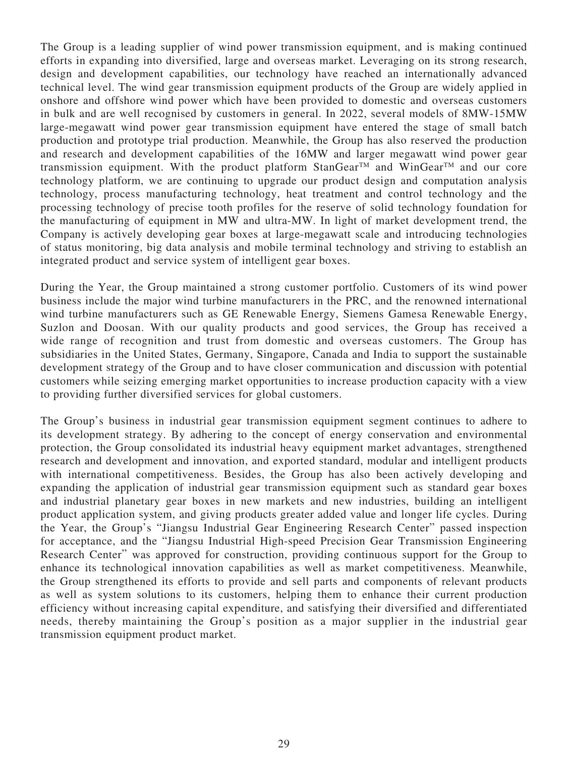The Group is a leading supplier of wind power transmission equipment, and is making continued efforts in expanding into diversified, large and overseas market. Leveraging on its strong research, design and development capabilities, our technology have reached an internationally advanced technical level. The wind gear transmission equipment products of the Group are widely applied in onshore and offshore wind power which have been provided to domestic and overseas customers in bulk and are well recognised by customers in general. In 2022, several models of 8MW-15MW large-megawatt wind power gear transmission equipment have entered the stage of small batch production and prototype trial production. Meanwhile, the Group has also reserved the production and research and development capabilities of the 16MW and larger megawatt wind power gear transmission equipment. With the product platform  $StanGear^{TM}$  and WinGear<sup>TM</sup> and our core technology platform, we are continuing to upgrade our product design and computation analysis technology, process manufacturing technology, heat treatment and control technology and the processing technology of precise tooth profiles for the reserve of solid technology foundation for the manufacturing of equipment in MW and ultra-MW. In light of market development trend, the Company is actively developing gear boxes at large-megawatt scale and introducing technologies of status monitoring, big data analysis and mobile terminal technology and striving to establish an integrated product and service system of intelligent gear boxes.

During the Year, the Group maintained a strong customer portfolio. Customers of its wind power business include the major wind turbine manufacturers in the PRC, and the renowned international wind turbine manufacturers such as GE Renewable Energy, Siemens Gamesa Renewable Energy, Suzlon and Doosan. With our quality products and good services, the Group has received a wide range of recognition and trust from domestic and overseas customers. The Group has subsidiaries in the United States, Germany, Singapore, Canada and India to support the sustainable development strategy of the Group and to have closer communication and discussion with potential customers while seizing emerging market opportunities to increase production capacity with a view to providing further diversified services for global customers.

The Group's business in industrial gear transmission equipment segment continues to adhere to its development strategy. By adhering to the concept of energy conservation and environmental protection, the Group consolidated its industrial heavy equipment market advantages, strengthened research and development and innovation, and exported standard, modular and intelligent products with international competitiveness. Besides, the Group has also been actively developing and expanding the application of industrial gear transmission equipment such as standard gear boxes and industrial planetary gear boxes in new markets and new industries, building an intelligent product application system, and giving products greater added value and longer life cycles. During the Year, the Group's "Jiangsu Industrial Gear Engineering Research Center" passed inspection for acceptance, and the "Jiangsu Industrial High-speed Precision Gear Transmission Engineering Research Center" was approved for construction, providing continuous support for the Group to enhance its technological innovation capabilities as well as market competitiveness. Meanwhile, the Group strengthened its efforts to provide and sell parts and components of relevant products as well as system solutions to its customers, helping them to enhance their current production efficiency without increasing capital expenditure, and satisfying their diversified and differentiated needs, thereby maintaining the Group's position as a major supplier in the industrial gear transmission equipment product market.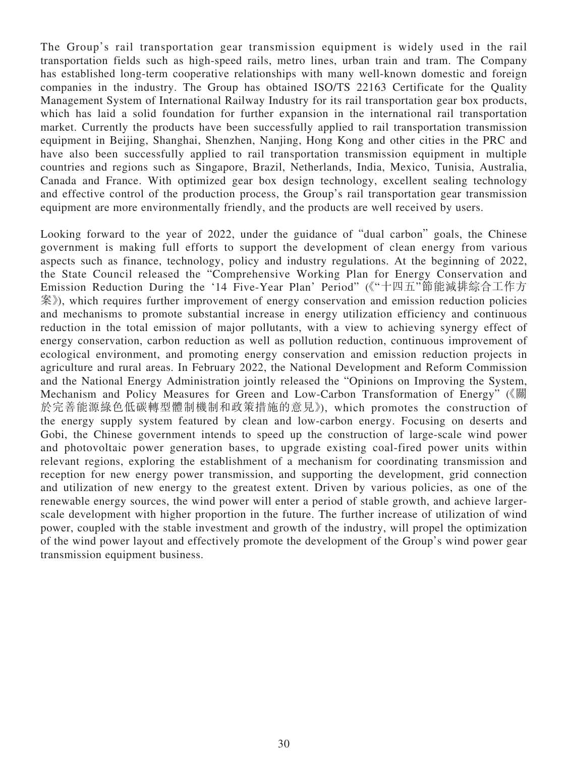The Group's rail transportation gear transmission equipment is widely used in the rail transportation fields such as high-speed rails, metro lines, urban train and tram. The Company has established long-term cooperative relationships with many well-known domestic and foreign companies in the industry. The Group has obtained ISO/TS 22163 Certificate for the Quality Management System of International Railway Industry for its rail transportation gear box products, which has laid a solid foundation for further expansion in the international rail transportation market. Currently the products have been successfully applied to rail transportation transmission equipment in Beijing, Shanghai, Shenzhen, Nanjing, Hong Kong and other cities in the PRC and have also been successfully applied to rail transportation transmission equipment in multiple countries and regions such as Singapore, Brazil, Netherlands, India, Mexico, Tunisia, Australia, Canada and France. With optimized gear box design technology, excellent sealing technology and effective control of the production process, the Group's rail transportation gear transmission equipment are more environmentally friendly, and the products are well received by users.

Looking forward to the year of 2022, under the guidance of "dual carbon" goals, the Chinese government is making full efforts to support the development of clean energy from various aspects such as finance, technology, policy and industry regulations. At the beginning of 2022, the State Council released the "Comprehensive Working Plan for Energy Conservation and Emission Reduction During the '14 Five-Year Plan' Period" (《"十四五"節能減排綜合工作方 案》), which requires further improvement of energy conservation and emission reduction policies and mechanisms to promote substantial increase in energy utilization efficiency and continuous reduction in the total emission of major pollutants, with a view to achieving synergy effect of energy conservation, carbon reduction as well as pollution reduction, continuous improvement of ecological environment, and promoting energy conservation and emission reduction projects in agriculture and rural areas. In February 2022, the National Development and Reform Commission and the National Energy Administration jointly released the "Opinions on Improving the System, Mechanism and Policy Measures for Green and Low-Carbon Transformation of Energy" (《關 於完善能源綠色低碳轉型體制機制和政策措施的意見》), which promotes the construction of the energy supply system featured by clean and low-carbon energy. Focusing on deserts and Gobi, the Chinese government intends to speed up the construction of large-scale wind power and photovoltaic power generation bases, to upgrade existing coal-fired power units within relevant regions, exploring the establishment of a mechanism for coordinating transmission and reception for new energy power transmission, and supporting the development, grid connection and utilization of new energy to the greatest extent. Driven by various policies, as one of the renewable energy sources, the wind power will enter a period of stable growth, and achieve largerscale development with higher proportion in the future. The further increase of utilization of wind power, coupled with the stable investment and growth of the industry, will propel the optimization of the wind power layout and effectively promote the development of the Group's wind power gear transmission equipment business.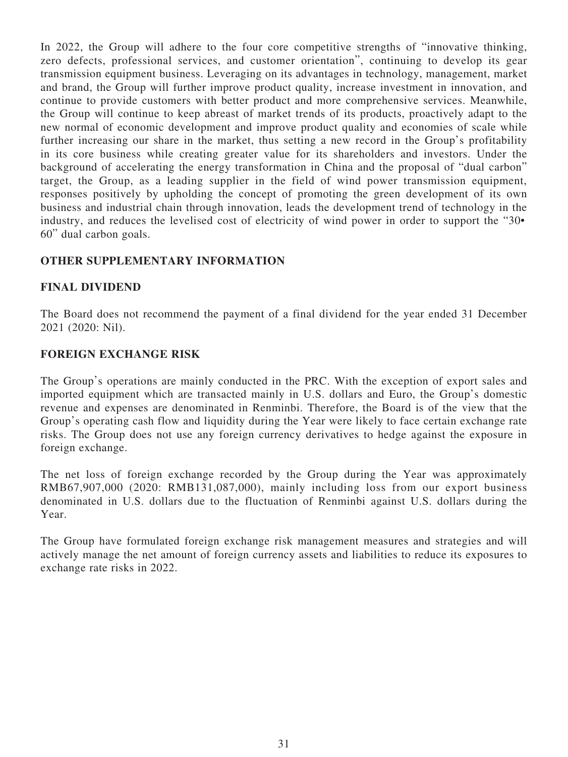In 2022, the Group will adhere to the four core competitive strengths of "innovative thinking, zero defects, professional services, and customer orientation", continuing to develop its gear transmission equipment business. Leveraging on its advantages in technology, management, market and brand, the Group will further improve product quality, increase investment in innovation, and continue to provide customers with better product and more comprehensive services. Meanwhile, the Group will continue to keep abreast of market trends of its products, proactively adapt to the new normal of economic development and improve product quality and economies of scale while further increasing our share in the market, thus setting a new record in the Group's profitability in its core business while creating greater value for its shareholders and investors. Under the background of accelerating the energy transformation in China and the proposal of "dual carbon" target, the Group, as a leading supplier in the field of wind power transmission equipment, responses positively by upholding the concept of promoting the green development of its own business and industrial chain through innovation, leads the development trend of technology in the industry, and reduces the levelised cost of electricity of wind power in order to support the "30• 60" dual carbon goals.

## **OTHER SUPPLEMENTARY INFORMATION**

### **FINAL DIVIDEND**

The Board does not recommend the payment of a final dividend for the year ended 31 December 2021 (2020: Nil).

### **FOREIGN EXCHANGE RISK**

The Group's operations are mainly conducted in the PRC. With the exception of export sales and imported equipment which are transacted mainly in U.S. dollars and Euro, the Group's domestic revenue and expenses are denominated in Renminbi. Therefore, the Board is of the view that the Group's operating cash flow and liquidity during the Year were likely to face certain exchange rate risks. The Group does not use any foreign currency derivatives to hedge against the exposure in foreign exchange.

The net loss of foreign exchange recorded by the Group during the Year was approximately RMB67,907,000 (2020: RMB131,087,000), mainly including loss from our export business denominated in U.S. dollars due to the fluctuation of Renminbi against U.S. dollars during the Year.

The Group have formulated foreign exchange risk management measures and strategies and will actively manage the net amount of foreign currency assets and liabilities to reduce its exposures to exchange rate risks in 2022.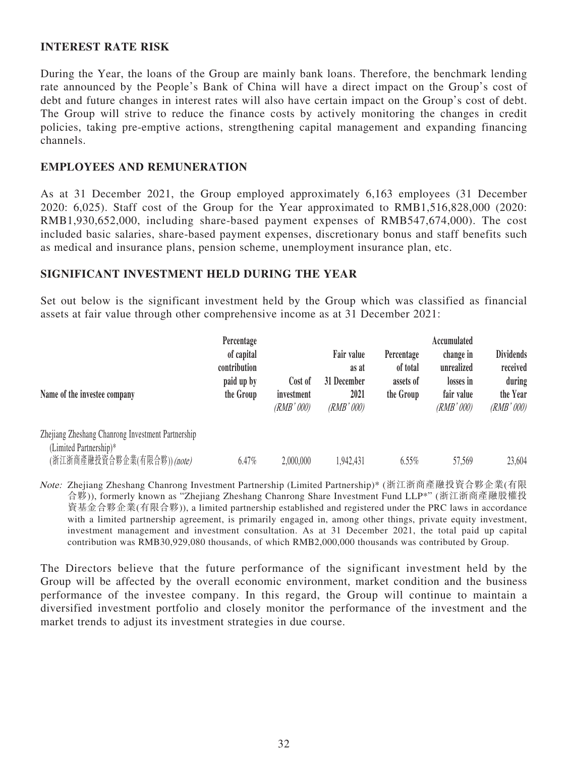### **INTEREST RATE RISK**

During the Year, the loans of the Group are mainly bank loans. Therefore, the benchmark lending rate announced by the People's Bank of China will have a direct impact on the Group's cost of debt and future changes in interest rates will also have certain impact on the Group's cost of debt. The Group will strive to reduce the finance costs by actively monitoring the changes in credit policies, taking pre-emptive actions, strengthening capital management and expanding financing channels.

### **EMPLOYEES AND REMUNERATION**

As at 31 December 2021, the Group employed approximately 6,163 employees (31 December 2020: 6,025). Staff cost of the Group for the Year approximated to RMB1,516,828,000 (2020: RMB1,930,652,000, including share-based payment expenses of RMB547,674,000). The cost included basic salaries, share-based payment expenses, discretionary bonus and staff benefits such as medical and insurance plans, pension scheme, unemployment insurance plan, etc.

### **SIGNIFICANT INVESTMENT HELD DURING THE YEAR**

Set out below is the significant investment held by the Group which was classified as financial assets at fair value through other comprehensive income as at 31 December 2021:

| Percentage<br>of capital<br>contribution<br>paid up by<br>the Group | Cost of<br>investment<br>(RMB' 000) | Fair value<br>as at<br>31 December<br>2021<br>(RMB'000) | Percentage<br>of total<br>assets of<br>the Group | Accumulated<br>change in<br>unrealized<br>losses in<br>fair value<br>(RMB'000) | <b>Dividends</b><br>received<br>during<br>the Year<br>(RMB'000) |
|---------------------------------------------------------------------|-------------------------------------|---------------------------------------------------------|--------------------------------------------------|--------------------------------------------------------------------------------|-----------------------------------------------------------------|
|                                                                     |                                     |                                                         |                                                  |                                                                                | 23,604                                                          |
|                                                                     | 6.47%                               | 2,000,000                                               | 1,942,431                                        | 6.55%                                                                          | 57,569                                                          |

Note: Zhejiang Zheshang Chanrong Investment Partnership (Limited Partnership)\* (浙江浙商產融投資合夥企業(有限 合夥)), formerly known as "Zhejiang Zheshang Chanrong Share Investment Fund LLP\*" (浙江浙商產融股權投 資基金合夥企業(有限合夥)), a limited partnership established and registered under the PRC laws in accordance with a limited partnership agreement, is primarily engaged in, among other things, private equity investment, investment management and investment consultation. As at 31 December 2021, the total paid up capital contribution was RMB30,929,080 thousands, of which RMB2,000,000 thousands was contributed by Group.

The Directors believe that the future performance of the significant investment held by the Group will be affected by the overall economic environment, market condition and the business performance of the investee company. In this regard, the Group will continue to maintain a diversified investment portfolio and closely monitor the performance of the investment and the market trends to adjust its investment strategies in due course.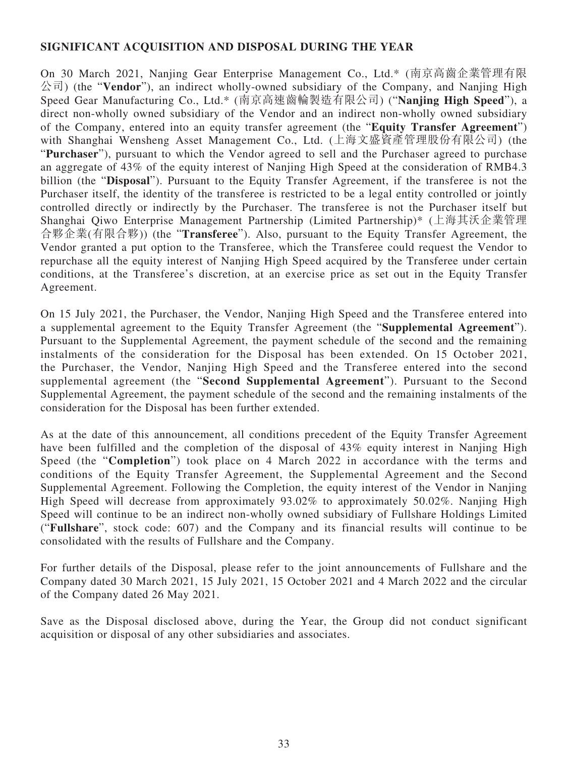### **SIGNIFICANT ACQUISITION AND DISPOSAL DURING THE YEAR**

On 30 March 2021, Nanjing Gear Enterprise Management Co., Ltd.\* (南京高齒企業管理有限 公司) (the "**Vendor**"), an indirect wholly-owned subsidiary of the Company, and Nanjing High Speed Gear Manufacturing Co., Ltd.\* (南京高速齒輪製造有限公司) ("**Nanjing High Speed**"), a direct non-wholly owned subsidiary of the Vendor and an indirect non-wholly owned subsidiary of the Company, entered into an equity transfer agreement (the "**Equity Transfer Agreement**") with Shanghai Wensheng Asset Management Co., Ltd. (上海文盛資產管理股份有限公司) (the "**Purchaser**"), pursuant to which the Vendor agreed to sell and the Purchaser agreed to purchase an aggregate of 43% of the equity interest of Nanjing High Speed at the consideration of RMB4.3 billion (the "**Disposal**"). Pursuant to the Equity Transfer Agreement, if the transferee is not the Purchaser itself, the identity of the transferee is restricted to be a legal entity controlled or jointly controlled directly or indirectly by the Purchaser. The transferee is not the Purchaser itself but Shanghai Qiwo Enterprise Management Partnership (Limited Partnership)\* (上海其沃企業管理 合夥企業(有限合夥)) (the "**Transferee**"). Also, pursuant to the Equity Transfer Agreement, the Vendor granted a put option to the Transferee, which the Transferee could request the Vendor to repurchase all the equity interest of Nanjing High Speed acquired by the Transferee under certain conditions, at the Transferee's discretion, at an exercise price as set out in the Equity Transfer Agreement.

On 15 July 2021, the Purchaser, the Vendor, Nanjing High Speed and the Transferee entered into a supplemental agreement to the Equity Transfer Agreement (the "**Supplemental Agreement**"). Pursuant to the Supplemental Agreement, the payment schedule of the second and the remaining instalments of the consideration for the Disposal has been extended. On 15 October 2021, the Purchaser, the Vendor, Nanjing High Speed and the Transferee entered into the second supplemental agreement (the "**Second Supplemental Agreement**"). Pursuant to the Second Supplemental Agreement, the payment schedule of the second and the remaining instalments of the consideration for the Disposal has been further extended.

As at the date of this announcement, all conditions precedent of the Equity Transfer Agreement have been fulfilled and the completion of the disposal of 43% equity interest in Nanjing High Speed (the "**Completion**") took place on 4 March 2022 in accordance with the terms and conditions of the Equity Transfer Agreement, the Supplemental Agreement and the Second Supplemental Agreement. Following the Completion, the equity interest of the Vendor in Nanjing High Speed will decrease from approximately 93.02% to approximately 50.02%. Nanjing High Speed will continue to be an indirect non-wholly owned subsidiary of Fullshare Holdings Limited ("**Fullshare**", stock code: 607) and the Company and its financial results will continue to be consolidated with the results of Fullshare and the Company.

For further details of the Disposal, please refer to the joint announcements of Fullshare and the Company dated 30 March 2021, 15 July 2021, 15 October 2021 and 4 March 2022 and the circular of the Company dated 26 May 2021.

Save as the Disposal disclosed above, during the Year, the Group did not conduct significant acquisition or disposal of any other subsidiaries and associates.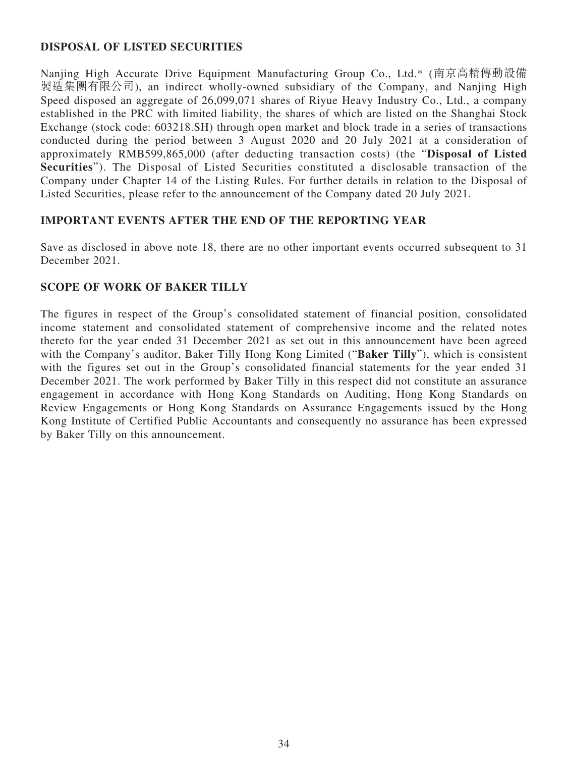## **DISPOSAL OF LISTED SECURITIES**

Nanjing High Accurate Drive Equipment Manufacturing Group Co., Ltd.\* (南京高精傳動設備 製造集團有限公司), an indirect wholly-owned subsidiary of the Company, and Nanjing High Speed disposed an aggregate of 26,099,071 shares of Riyue Heavy Industry Co., Ltd., a company established in the PRC with limited liability, the shares of which are listed on the Shanghai Stock Exchange (stock code: 603218.SH) through open market and block trade in a series of transactions conducted during the period between 3 August 2020 and 20 July 2021 at a consideration of approximately RMB599,865,000 (after deducting transaction costs) (the "**Disposal of Listed Securities**"). The Disposal of Listed Securities constituted a disclosable transaction of the Company under Chapter 14 of the Listing Rules. For further details in relation to the Disposal of Listed Securities, please refer to the announcement of the Company dated 20 July 2021.

## **IMPORTANT EVENTS AFTER THE END OF THE REPORTING YEAR**

Save as disclosed in above note 18, there are no other important events occurred subsequent to 31 December 2021.

## **SCOPE OF WORK OF BAKER TILLY**

The figures in respect of the Group's consolidated statement of financial position, consolidated income statement and consolidated statement of comprehensive income and the related notes thereto for the year ended 31 December 2021 as set out in this announcement have been agreed with the Company's auditor, Baker Tilly Hong Kong Limited ("**Baker Tilly**"), which is consistent with the figures set out in the Group's consolidated financial statements for the year ended 31 December 2021. The work performed by Baker Tilly in this respect did not constitute an assurance engagement in accordance with Hong Kong Standards on Auditing, Hong Kong Standards on Review Engagements or Hong Kong Standards on Assurance Engagements issued by the Hong Kong Institute of Certified Public Accountants and consequently no assurance has been expressed by Baker Tilly on this announcement.